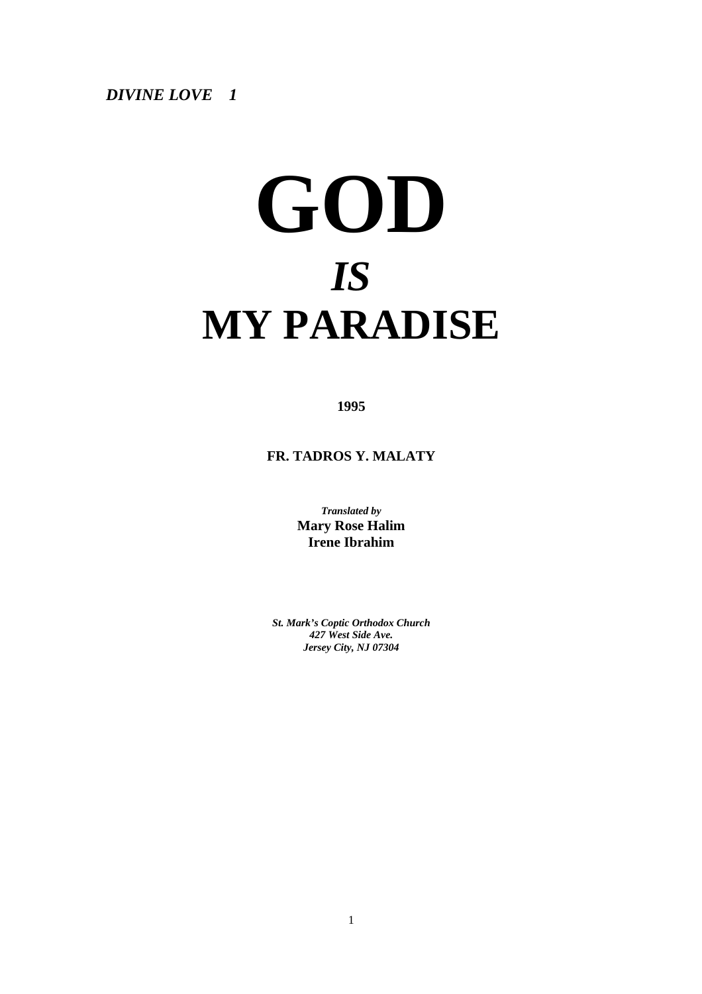*DIVINE LOVE 1* 

# **GOD**  *IS*  **MY PARADISE**

**1995** 

**FR. TADROS Y. MALATY** 

*Translated by*  **Mary Rose Halim Irene Ibrahim** 

*St. Mark's Coptic Orthodox Church 427 West Side Ave. Jersey City, NJ 07304* 

1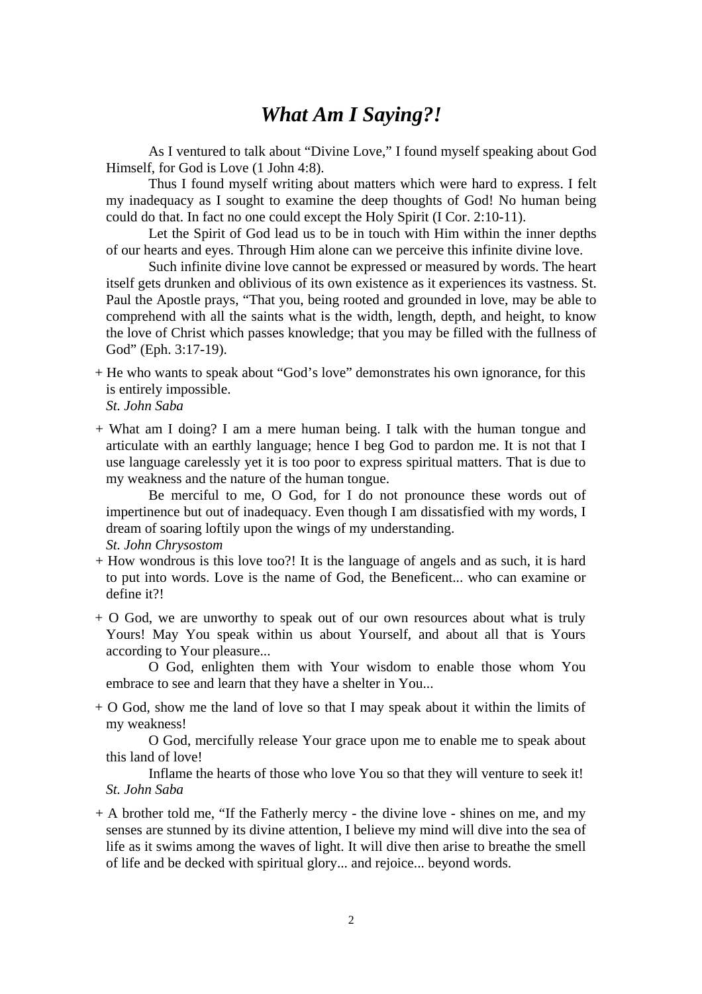## *What Am I Saying?!*

 As I ventured to talk about "Divine Love," I found myself speaking about God Himself, for God is Love (1 John 4:8).

 Thus I found myself writing about matters which were hard to express. I felt my inadequacy as I sought to examine the deep thoughts of God! No human being could do that. In fact no one could except the Holy Spirit (I Cor. 2:10-11).

 Let the Spirit of God lead us to be in touch with Him within the inner depths of our hearts and eyes. Through Him alone can we perceive this infinite divine love.

 Such infinite divine love cannot be expressed or measured by words. The heart itself gets drunken and oblivious of its own existence as it experiences its vastness. St. Paul the Apostle prays, "That you, being rooted and grounded in love, may be able to comprehend with all the saints what is the width, length, depth, and height, to know the love of Christ which passes knowledge; that you may be filled with the fullness of God" (Eph. 3:17-19).

- + He who wants to speak about "God's love" demonstrates his own ignorance, for this is entirely impossible.
	- *St. John Saba*
- + What am I doing? I am a mere human being. I talk with the human tongue and articulate with an earthly language; hence I beg God to pardon me. It is not that I use language carelessly yet it is too poor to express spiritual matters. That is due to my weakness and the nature of the human tongue.

 Be merciful to me, O God, for I do not pronounce these words out of impertinence but out of inadequacy. Even though I am dissatisfied with my words, I dream of soaring loftily upon the wings of my understanding.

*St. John Chrysostom* 

- + How wondrous is this love too?! It is the language of angels and as such, it is hard to put into words. Love is the name of God, the Beneficent... who can examine or define it?!
- + O God, we are unworthy to speak out of our own resources about what is truly Yours! May You speak within us about Yourself, and about all that is Yours according to Your pleasure...

 O God, enlighten them with Your wisdom to enable those whom You embrace to see and learn that they have a shelter in You...

+ O God, show me the land of love so that I may speak about it within the limits of my weakness!

 O God, mercifully release Your grace upon me to enable me to speak about this land of love!

 Inflame the hearts of those who love You so that they will venture to seek it! *St. John Saba* 

+ A brother told me, "If the Fatherly mercy - the divine love - shines on me, and my senses are stunned by its divine attention, I believe my mind will dive into the sea of life as it swims among the waves of light. It will dive then arise to breathe the smell of life and be decked with spiritual glory... and rejoice... beyond words.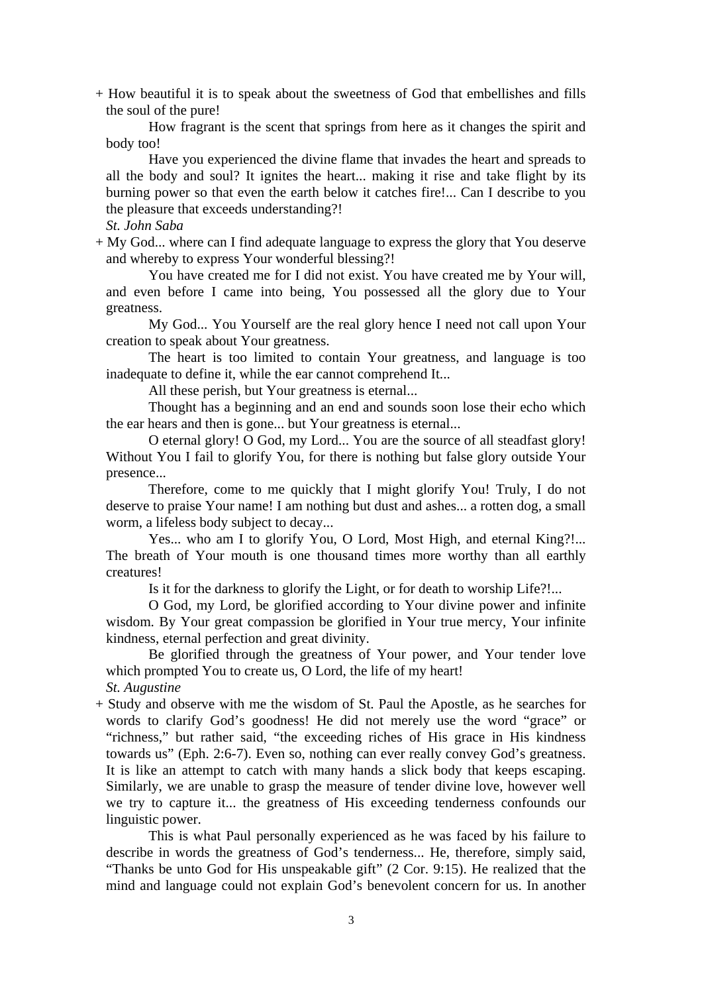+ How beautiful it is to speak about the sweetness of God that embellishes and fills the soul of the pure!

 How fragrant is the scent that springs from here as it changes the spirit and body too!

 Have you experienced the divine flame that invades the heart and spreads to all the body and soul? It ignites the heart... making it rise and take flight by its burning power so that even the earth below it catches fire!... Can I describe to you the pleasure that exceeds understanding?!

*St. John Saba* 

+ My God... where can I find adequate language to express the glory that You deserve and whereby to express Your wonderful blessing?!

 You have created me for I did not exist. You have created me by Your will, and even before I came into being, You possessed all the glory due to Your greatness.

 My God... You Yourself are the real glory hence I need not call upon Your creation to speak about Your greatness.

 The heart is too limited to contain Your greatness, and language is too inadequate to define it, while the ear cannot comprehend It...

All these perish, but Your greatness is eternal...

 Thought has a beginning and an end and sounds soon lose their echo which the ear hears and then is gone... but Your greatness is eternal...

 O eternal glory! O God, my Lord... You are the source of all steadfast glory! Without You I fail to glorify You, for there is nothing but false glory outside Your presence...

 Therefore, come to me quickly that I might glorify You! Truly, I do not deserve to praise Your name! I am nothing but dust and ashes... a rotten dog, a small worm, a lifeless body subject to decay...

Yes... who am I to glorify You, O Lord, Most High, and eternal King?!... The breath of Your mouth is one thousand times more worthy than all earthly creatures!

Is it for the darkness to glorify the Light, or for death to worship Life?!...

 O God, my Lord, be glorified according to Your divine power and infinite wisdom. By Your great compassion be glorified in Your true mercy, Your infinite kindness, eternal perfection and great divinity.

 Be glorified through the greatness of Your power, and Your tender love which prompted You to create us, O Lord, the life of my heart! *St. Augustine* 

+ Study and observe with me the wisdom of St. Paul the Apostle, as he searches for words to clarify God's goodness! He did not merely use the word "grace" or "richness," but rather said, "the exceeding riches of His grace in His kindness towards us" (Eph. 2:6-7). Even so, nothing can ever really convey God's greatness. It is like an attempt to catch with many hands a slick body that keeps escaping. Similarly, we are unable to grasp the measure of tender divine love, however well we try to capture it... the greatness of His exceeding tenderness confounds our linguistic power.

 This is what Paul personally experienced as he was faced by his failure to describe in words the greatness of God's tenderness... He, therefore, simply said, "Thanks be unto God for His unspeakable gift" (2 Cor. 9:15). He realized that the mind and language could not explain God's benevolent concern for us. In another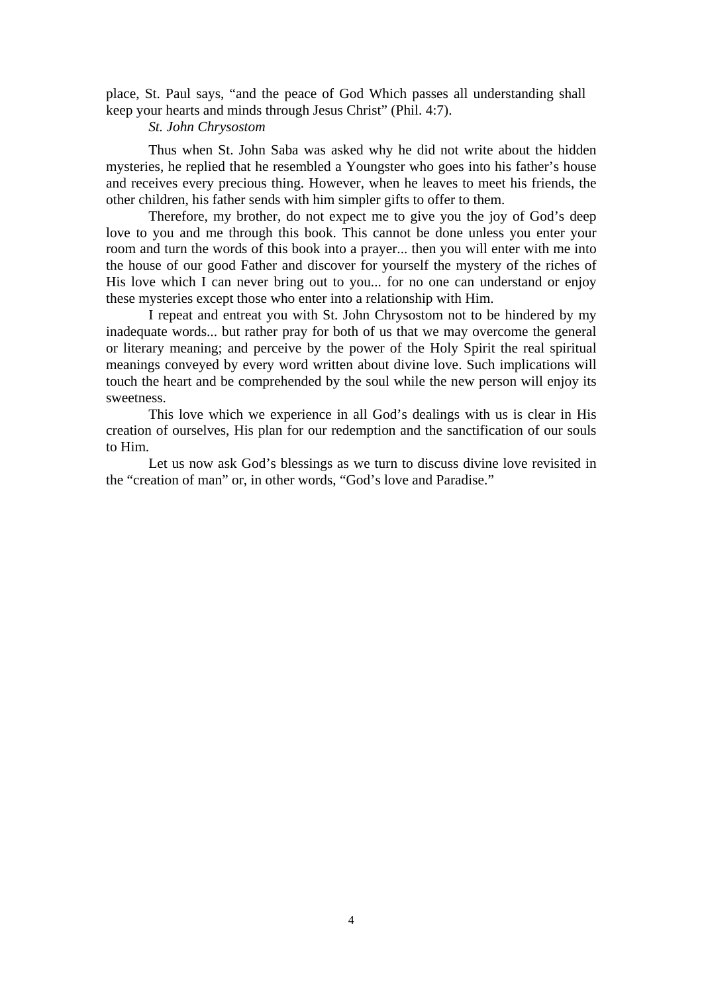place, St. Paul says, "and the peace of God Which passes all understanding shall keep your hearts and minds through Jesus Christ" (Phil. 4:7).

 *St. John Chrysostom* 

 Thus when St. John Saba was asked why he did not write about the hidden mysteries, he replied that he resembled a Youngster who goes into his father's house and receives every precious thing. However, when he leaves to meet his friends, the other children, his father sends with him simpler gifts to offer to them.

 Therefore, my brother, do not expect me to give you the joy of God's deep love to you and me through this book. This cannot be done unless you enter your room and turn the words of this book into a prayer... then you will enter with me into the house of our good Father and discover for yourself the mystery of the riches of His love which I can never bring out to you... for no one can understand or enjoy these mysteries except those who enter into a relationship with Him.

 I repeat and entreat you with St. John Chrysostom not to be hindered by my inadequate words... but rather pray for both of us that we may overcome the general or literary meaning; and perceive by the power of the Holy Spirit the real spiritual meanings conveyed by every word written about divine love. Such implications will touch the heart and be comprehended by the soul while the new person will enjoy its sweetness.

 This love which we experience in all God's dealings with us is clear in His creation of ourselves, His plan for our redemption and the sanctification of our souls to Him.

 Let us now ask God's blessings as we turn to discuss divine love revisited in the "creation of man" or, in other words, "God's love and Paradise."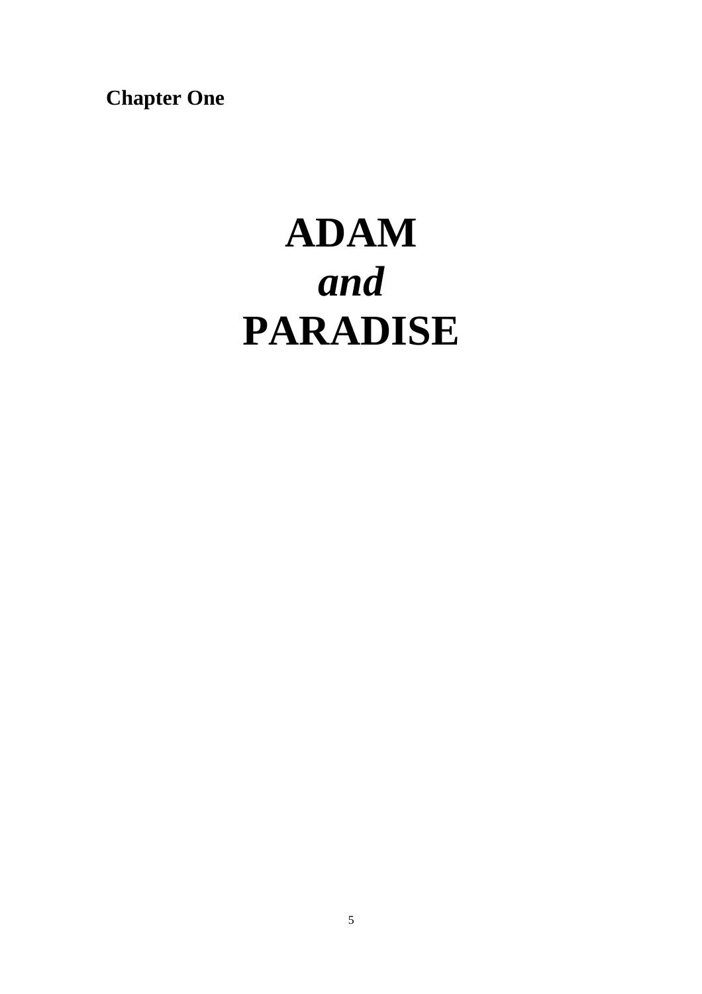**Chapter One** 

## **ADAM**  *and*  **PARADISE**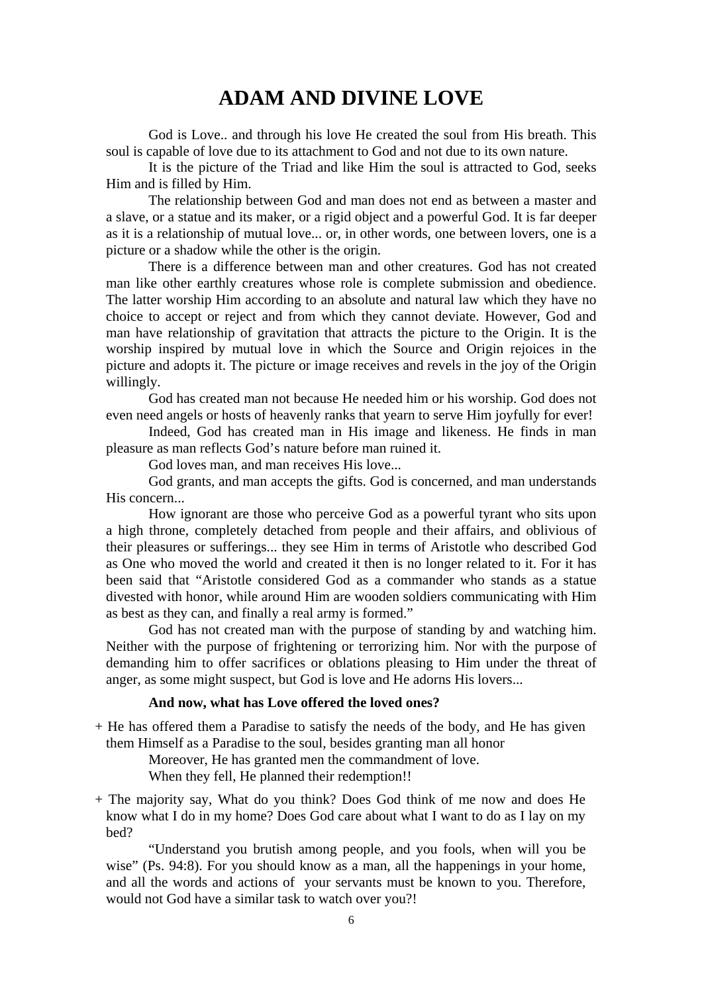## **ADAM AND DIVINE LOVE**

 God is Love.. and through his love He created the soul from His breath. This soul is capable of love due to its attachment to God and not due to its own nature.

 It is the picture of the Triad and like Him the soul is attracted to God, seeks Him and is filled by Him.

 The relationship between God and man does not end as between a master and a slave, or a statue and its maker, or a rigid object and a powerful God. It is far deeper as it is a relationship of mutual love... or, in other words, one between lovers, one is a picture or a shadow while the other is the origin.

 There is a difference between man and other creatures. God has not created man like other earthly creatures whose role is complete submission and obedience. The latter worship Him according to an absolute and natural law which they have no choice to accept or reject and from which they cannot deviate. However, God and man have relationship of gravitation that attracts the picture to the Origin. It is the worship inspired by mutual love in which the Source and Origin rejoices in the picture and adopts it. The picture or image receives and revels in the joy of the Origin willingly.

 God has created man not because He needed him or his worship. God does not even need angels or hosts of heavenly ranks that yearn to serve Him joyfully for ever!

 Indeed, God has created man in His image and likeness. He finds in man pleasure as man reflects God's nature before man ruined it.

God loves man, and man receives His love...

 God grants, and man accepts the gifts. God is concerned, and man understands His concern...

 How ignorant are those who perceive God as a powerful tyrant who sits upon a high throne, completely detached from people and their affairs, and oblivious of their pleasures or sufferings... they see Him in terms of Aristotle who described God as One who moved the world and created it then is no longer related to it. For it has been said that "Aristotle considered God as a commander who stands as a statue divested with honor, while around Him are wooden soldiers communicating with Him as best as they can, and finally a real army is formed."

 God has not created man with the purpose of standing by and watching him. Neither with the purpose of frightening or terrorizing him. Nor with the purpose of demanding him to offer sacrifices or oblations pleasing to Him under the threat of anger, as some might suspect, but God is love and He adorns His lovers...

#### **And now, what has Love offered the loved ones?**

+ He has offered them a Paradise to satisfy the needs of the body, and He has given them Himself as a Paradise to the soul, besides granting man all honor

Moreover, He has granted men the commandment of love.

When they fell, He planned their redemption!!

+ The majority say, What do you think? Does God think of me now and does He know what I do in my home? Does God care about what I want to do as I lay on my bed?

 "Understand you brutish among people, and you fools, when will you be wise" (Ps. 94:8). For you should know as a man, all the happenings in your home, and all the words and actions of your servants must be known to you. Therefore, would not God have a similar task to watch over you?!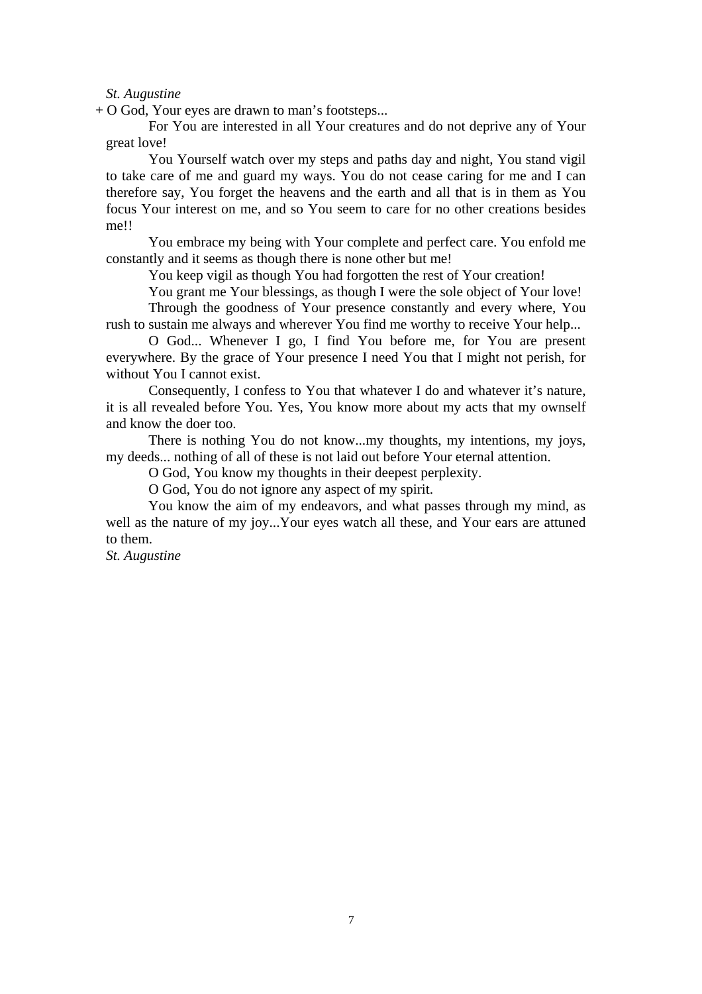#### *St. Augustine*

+ O God, Your eyes are drawn to man's footsteps...

 For You are interested in all Your creatures and do not deprive any of Your great love!

 You Yourself watch over my steps and paths day and night, You stand vigil to take care of me and guard my ways. You do not cease caring for me and I can therefore say, You forget the heavens and the earth and all that is in them as You focus Your interest on me, and so You seem to care for no other creations besides me!!

 You embrace my being with Your complete and perfect care. You enfold me constantly and it seems as though there is none other but me!

You keep vigil as though You had forgotten the rest of Your creation!

You grant me Your blessings, as though I were the sole object of Your love!

 Through the goodness of Your presence constantly and every where, You rush to sustain me always and wherever You find me worthy to receive Your help...

 O God... Whenever I go, I find You before me, for You are present everywhere. By the grace of Your presence I need You that I might not perish, for without You I cannot exist.

 Consequently, I confess to You that whatever I do and whatever it's nature, it is all revealed before You. Yes, You know more about my acts that my ownself and know the doer too.

 There is nothing You do not know...my thoughts, my intentions, my joys, my deeds... nothing of all of these is not laid out before Your eternal attention.

O God, You know my thoughts in their deepest perplexity.

O God, You do not ignore any aspect of my spirit.

 You know the aim of my endeavors, and what passes through my mind, as well as the nature of my joy...Your eyes watch all these, and Your ears are attuned to them.

*St. Augustine*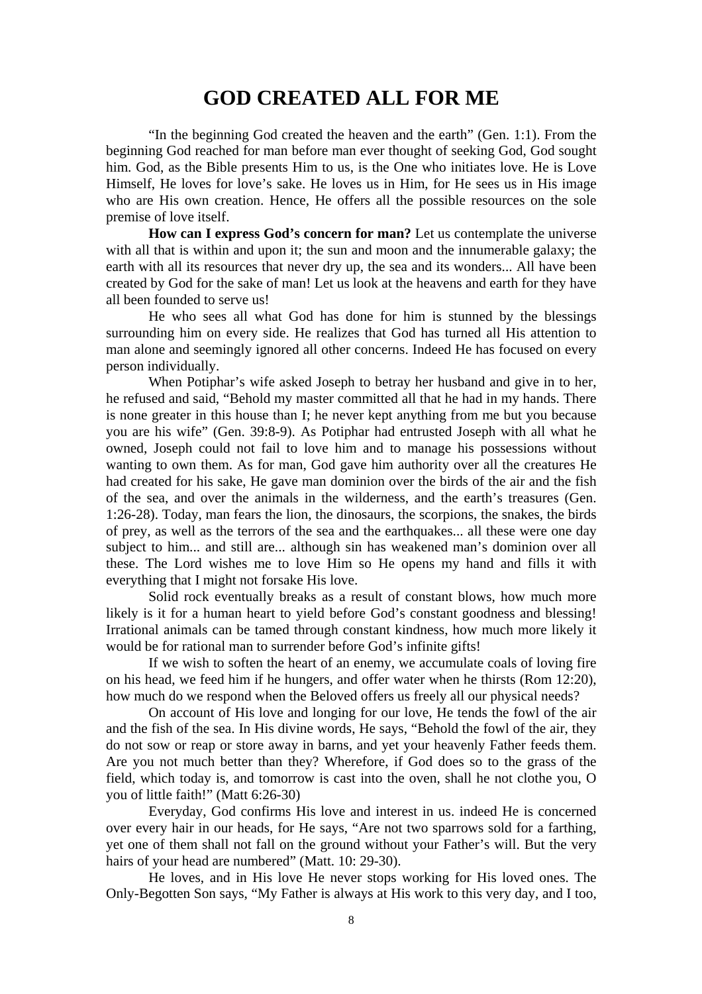## **GOD CREATED ALL FOR ME**

 "In the beginning God created the heaven and the earth" (Gen. 1:1). From the beginning God reached for man before man ever thought of seeking God, God sought him. God, as the Bible presents Him to us, is the One who initiates love. He is Love Himself, He loves for love's sake. He loves us in Him, for He sees us in His image who are His own creation. Hence, He offers all the possible resources on the sole premise of love itself.

 **How can I express God's concern for man?** Let us contemplate the universe with all that is within and upon it; the sun and moon and the innumerable galaxy; the earth with all its resources that never dry up, the sea and its wonders... All have been created by God for the sake of man! Let us look at the heavens and earth for they have all been founded to serve us!

 He who sees all what God has done for him is stunned by the blessings surrounding him on every side. He realizes that God has turned all His attention to man alone and seemingly ignored all other concerns. Indeed He has focused on every person individually.

 When Potiphar's wife asked Joseph to betray her husband and give in to her, he refused and said, "Behold my master committed all that he had in my hands. There is none greater in this house than I; he never kept anything from me but you because you are his wife" (Gen. 39:8-9). As Potiphar had entrusted Joseph with all what he owned, Joseph could not fail to love him and to manage his possessions without wanting to own them. As for man, God gave him authority over all the creatures He had created for his sake, He gave man dominion over the birds of the air and the fish of the sea, and over the animals in the wilderness, and the earth's treasures (Gen. 1:26-28). Today, man fears the lion, the dinosaurs, the scorpions, the snakes, the birds of prey, as well as the terrors of the sea and the earthquakes... all these were one day subject to him... and still are... although sin has weakened man's dominion over all these. The Lord wishes me to love Him so He opens my hand and fills it with everything that I might not forsake His love.

 Solid rock eventually breaks as a result of constant blows, how much more likely is it for a human heart to yield before God's constant goodness and blessing! Irrational animals can be tamed through constant kindness, how much more likely it would be for rational man to surrender before God's infinite gifts!

 If we wish to soften the heart of an enemy, we accumulate coals of loving fire on his head, we feed him if he hungers, and offer water when he thirsts (Rom 12:20), how much do we respond when the Beloved offers us freely all our physical needs?

 On account of His love and longing for our love, He tends the fowl of the air and the fish of the sea. In His divine words, He says, "Behold the fowl of the air, they do not sow or reap or store away in barns, and yet your heavenly Father feeds them. Are you not much better than they? Wherefore, if God does so to the grass of the field, which today is, and tomorrow is cast into the oven, shall he not clothe you, O you of little faith!" (Matt 6:26-30)

 Everyday, God confirms His love and interest in us. indeed He is concerned over every hair in our heads, for He says, "Are not two sparrows sold for a farthing, yet one of them shall not fall on the ground without your Father's will. But the very hairs of your head are numbered" (Matt. 10: 29-30).

 He loves, and in His love He never stops working for His loved ones. The Only-Begotten Son says, "My Father is always at His work to this very day, and I too,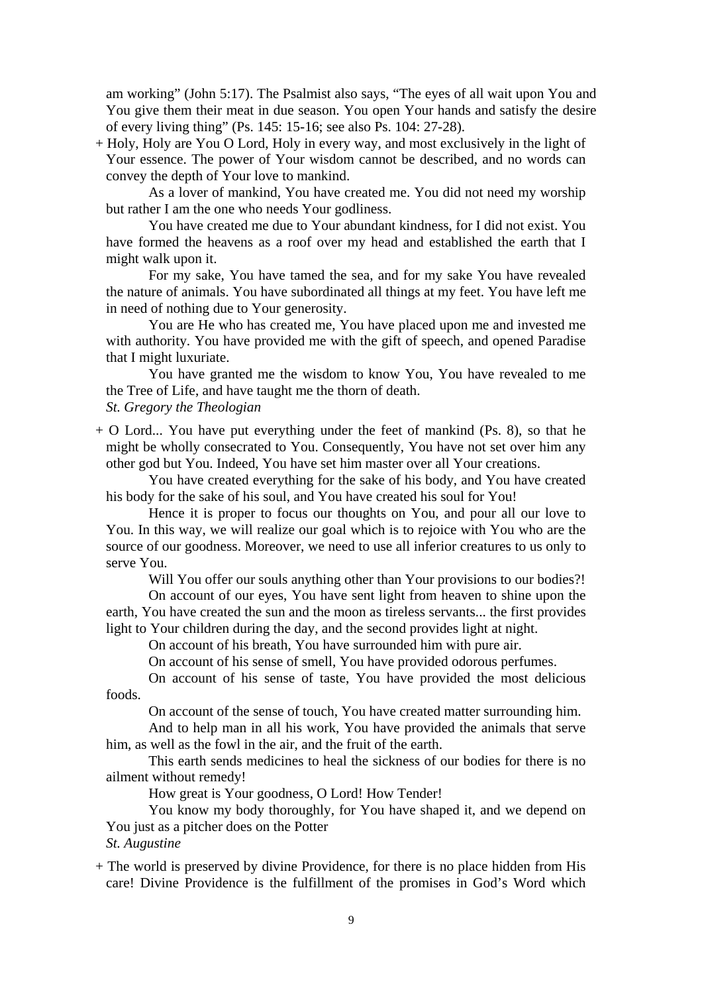am working" (John 5:17). The Psalmist also says, "The eyes of all wait upon You and You give them their meat in due season. You open Your hands and satisfy the desire of every living thing" (Ps. 145: 15-16; see also Ps. 104: 27-28).

+ Holy, Holy are You O Lord, Holy in every way, and most exclusively in the light of Your essence. The power of Your wisdom cannot be described, and no words can convey the depth of Your love to mankind.

 As a lover of mankind, You have created me. You did not need my worship but rather I am the one who needs Your godliness.

 You have created me due to Your abundant kindness, for I did not exist. You have formed the heavens as a roof over my head and established the earth that I might walk upon it.

 For my sake, You have tamed the sea, and for my sake You have revealed the nature of animals. You have subordinated all things at my feet. You have left me in need of nothing due to Your generosity.

 You are He who has created me, You have placed upon me and invested me with authority. You have provided me with the gift of speech, and opened Paradise that I might luxuriate.

 You have granted me the wisdom to know You, You have revealed to me the Tree of Life, and have taught me the thorn of death. *St. Gregory the Theologian* 

+ O Lord... You have put everything under the feet of mankind (Ps. 8), so that he might be wholly consecrated to You. Consequently, You have not set over him any other god but You. Indeed, You have set him master over all Your creations.

 You have created everything for the sake of his body, and You have created his body for the sake of his soul, and You have created his soul for You!

 Hence it is proper to focus our thoughts on You, and pour all our love to You. In this way, we will realize our goal which is to rejoice with You who are the source of our goodness. Moreover, we need to use all inferior creatures to us only to serve You.

Will You offer our souls anything other than Your provisions to our bodies?!

 On account of our eyes, You have sent light from heaven to shine upon the earth, You have created the sun and the moon as tireless servants... the first provides light to Your children during the day, and the second provides light at night.

On account of his breath, You have surrounded him with pure air.

On account of his sense of smell, You have provided odorous perfumes.

 On account of his sense of taste, You have provided the most delicious foods.

On account of the sense of touch, You have created matter surrounding him.

 And to help man in all his work, You have provided the animals that serve him, as well as the fowl in the air, and the fruit of the earth.

 This earth sends medicines to heal the sickness of our bodies for there is no ailment without remedy!

How great is Your goodness, O Lord! How Tender!

 You know my body thoroughly, for You have shaped it, and we depend on You just as a pitcher does on the Potter

*St. Augustine* 

+ The world is preserved by divine Providence, for there is no place hidden from His care! Divine Providence is the fulfillment of the promises in God's Word which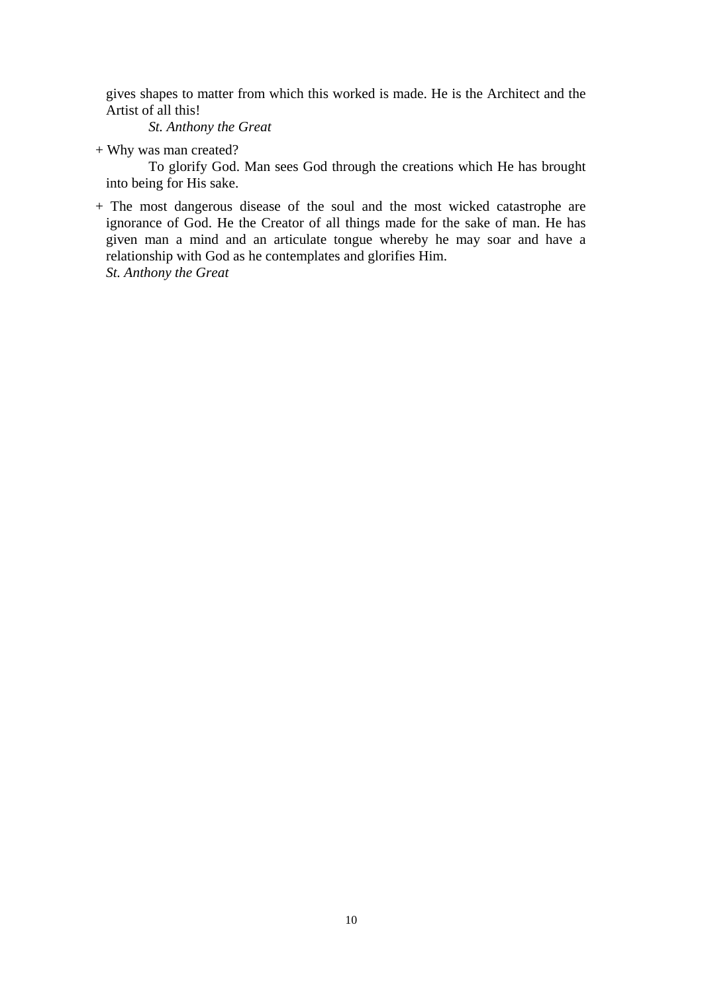gives shapes to matter from which this worked is made. He is the Architect and the Artist of all this!

 *St. Anthony the Great* 

 To glorify God. Man sees God through the creations which He has brought into being for His sake.

+ The most dangerous disease of the soul and the most wicked catastrophe are ignorance of God. He the Creator of all things made for the sake of man. He has given man a mind and an articulate tongue whereby he may soar and have a relationship with God as he contemplates and glorifies Him. *St. Anthony the Great* 

<sup>+</sup> Why was man created?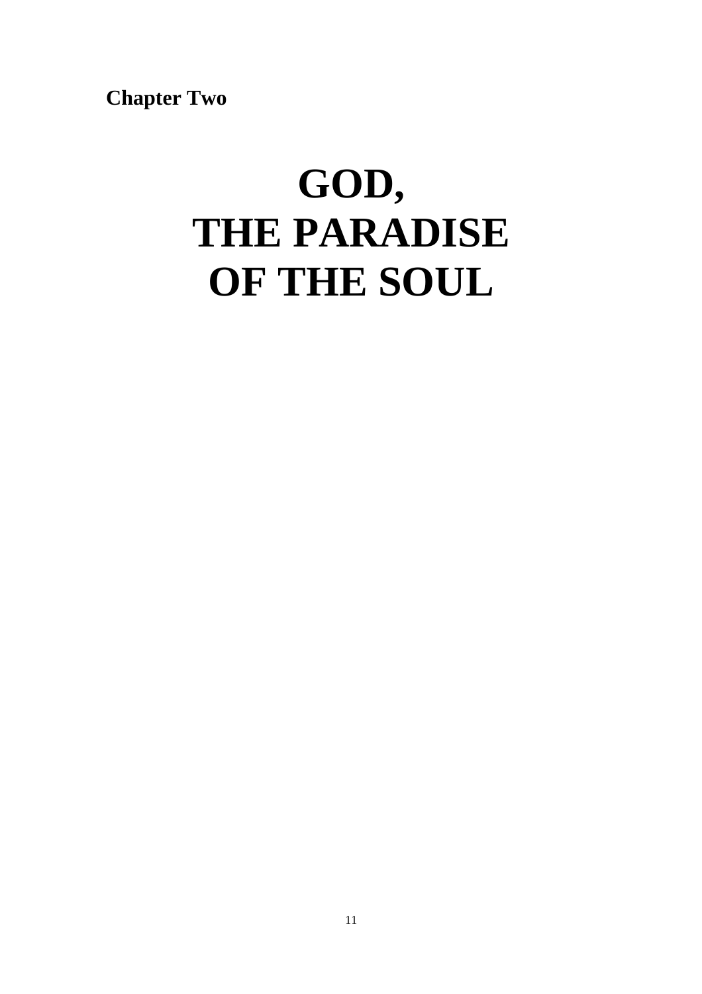**Chapter Two** 

## **GOD, THE PARADISE OF THE SOUL**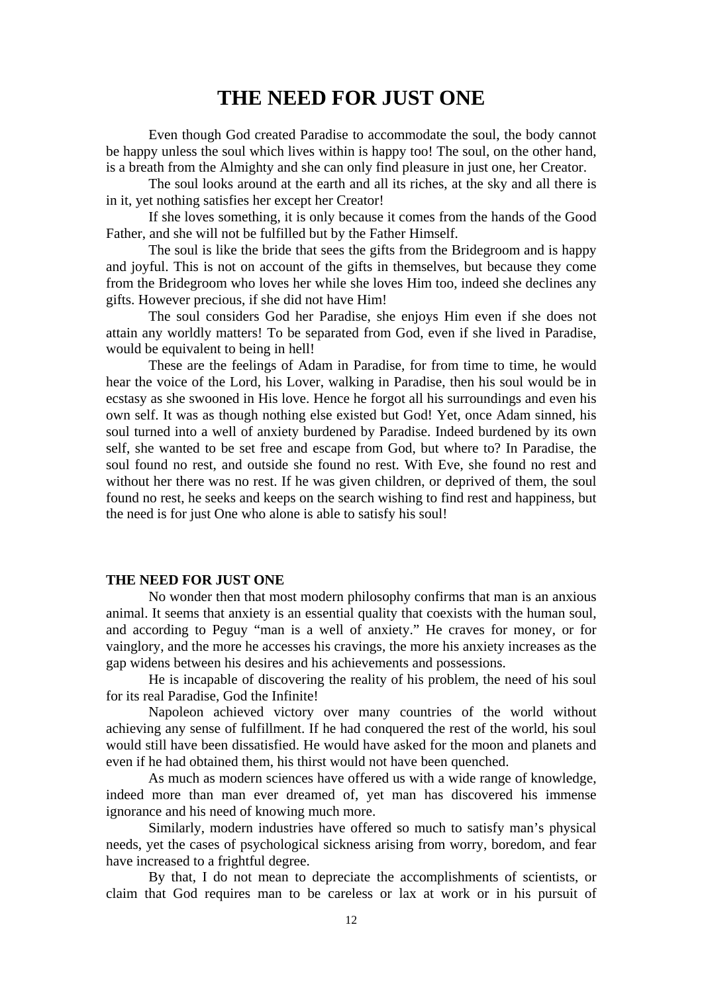## **THE NEED FOR JUST ONE**

 Even though God created Paradise to accommodate the soul, the body cannot be happy unless the soul which lives within is happy too! The soul, on the other hand, is a breath from the Almighty and she can only find pleasure in just one, her Creator.

 The soul looks around at the earth and all its riches, at the sky and all there is in it, yet nothing satisfies her except her Creator!

 If she loves something, it is only because it comes from the hands of the Good Father, and she will not be fulfilled but by the Father Himself.

 The soul is like the bride that sees the gifts from the Bridegroom and is happy and joyful. This is not on account of the gifts in themselves, but because they come from the Bridegroom who loves her while she loves Him too, indeed she declines any gifts. However precious, if she did not have Him!

 The soul considers God her Paradise, she enjoys Him even if she does not attain any worldly matters! To be separated from God, even if she lived in Paradise, would be equivalent to being in hell!

 These are the feelings of Adam in Paradise, for from time to time, he would hear the voice of the Lord, his Lover, walking in Paradise, then his soul would be in ecstasy as she swooned in His love. Hence he forgot all his surroundings and even his own self. It was as though nothing else existed but God! Yet, once Adam sinned, his soul turned into a well of anxiety burdened by Paradise. Indeed burdened by its own self, she wanted to be set free and escape from God, but where to? In Paradise, the soul found no rest, and outside she found no rest. With Eve, she found no rest and without her there was no rest. If he was given children, or deprived of them, the soul found no rest, he seeks and keeps on the search wishing to find rest and happiness, but the need is for just One who alone is able to satisfy his soul!

#### **THE NEED FOR JUST ONE**

 No wonder then that most modern philosophy confirms that man is an anxious animal. It seems that anxiety is an essential quality that coexists with the human soul, and according to Peguy "man is a well of anxiety." He craves for money, or for vainglory, and the more he accesses his cravings, the more his anxiety increases as the gap widens between his desires and his achievements and possessions.

 He is incapable of discovering the reality of his problem, the need of his soul for its real Paradise, God the Infinite!

 Napoleon achieved victory over many countries of the world without achieving any sense of fulfillment. If he had conquered the rest of the world, his soul would still have been dissatisfied. He would have asked for the moon and planets and even if he had obtained them, his thirst would not have been quenched.

 As much as modern sciences have offered us with a wide range of knowledge, indeed more than man ever dreamed of, yet man has discovered his immense ignorance and his need of knowing much more.

 Similarly, modern industries have offered so much to satisfy man's physical needs, yet the cases of psychological sickness arising from worry, boredom, and fear have increased to a frightful degree.

 By that, I do not mean to depreciate the accomplishments of scientists, or claim that God requires man to be careless or lax at work or in his pursuit of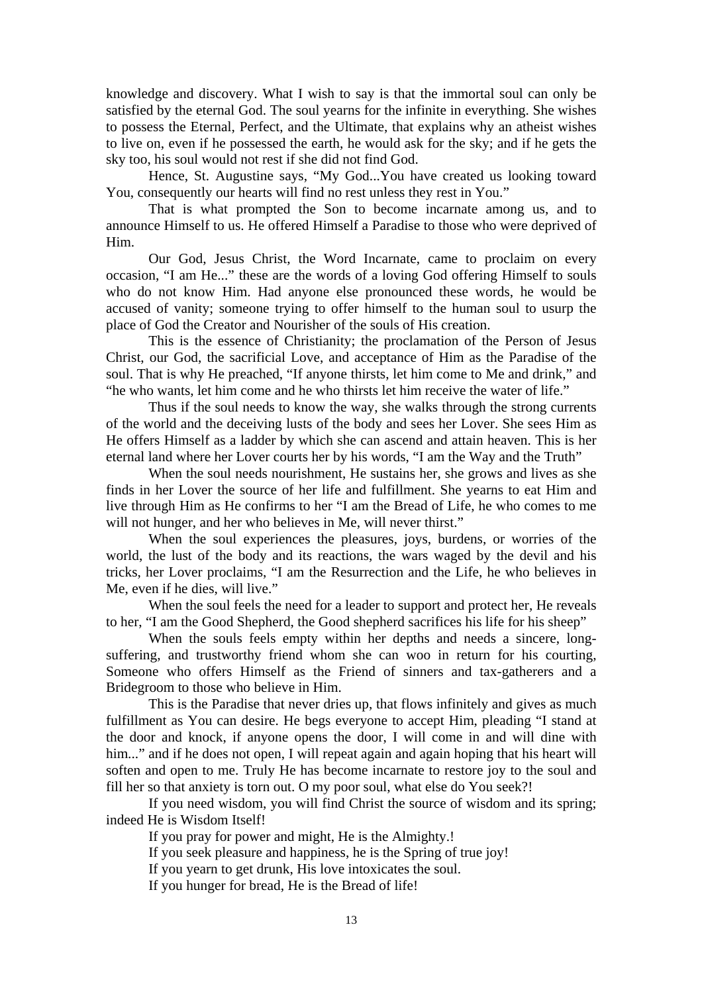knowledge and discovery. What I wish to say is that the immortal soul can only be satisfied by the eternal God. The soul yearns for the infinite in everything. She wishes to possess the Eternal, Perfect, and the Ultimate, that explains why an atheist wishes to live on, even if he possessed the earth, he would ask for the sky; and if he gets the sky too, his soul would not rest if she did not find God.

 Hence, St. Augustine says, "My God...You have created us looking toward You, consequently our hearts will find no rest unless they rest in You."

 That is what prompted the Son to become incarnate among us, and to announce Himself to us. He offered Himself a Paradise to those who were deprived of Him.

 Our God, Jesus Christ, the Word Incarnate, came to proclaim on every occasion, "I am He..." these are the words of a loving God offering Himself to souls who do not know Him. Had anyone else pronounced these words, he would be accused of vanity; someone trying to offer himself to the human soul to usurp the place of God the Creator and Nourisher of the souls of His creation.

 This is the essence of Christianity; the proclamation of the Person of Jesus Christ, our God, the sacrificial Love, and acceptance of Him as the Paradise of the soul. That is why He preached, "If anyone thirsts, let him come to Me and drink," and "he who wants, let him come and he who thirsts let him receive the water of life."

 Thus if the soul needs to know the way, she walks through the strong currents of the world and the deceiving lusts of the body and sees her Lover. She sees Him as He offers Himself as a ladder by which she can ascend and attain heaven. This is her eternal land where her Lover courts her by his words, "I am the Way and the Truth"

When the soul needs nourishment, He sustains her, she grows and lives as she finds in her Lover the source of her life and fulfillment. She yearns to eat Him and live through Him as He confirms to her "I am the Bread of Life, he who comes to me will not hunger, and her who believes in Me, will never thirst."

 When the soul experiences the pleasures, joys, burdens, or worries of the world, the lust of the body and its reactions, the wars waged by the devil and his tricks, her Lover proclaims, "I am the Resurrection and the Life, he who believes in Me, even if he dies, will live."

 When the soul feels the need for a leader to support and protect her, He reveals to her, "I am the Good Shepherd, the Good shepherd sacrifices his life for his sheep"

 When the souls feels empty within her depths and needs a sincere, longsuffering, and trustworthy friend whom she can woo in return for his courting, Someone who offers Himself as the Friend of sinners and tax-gatherers and a Bridegroom to those who believe in Him.

 This is the Paradise that never dries up, that flows infinitely and gives as much fulfillment as You can desire. He begs everyone to accept Him, pleading "I stand at the door and knock, if anyone opens the door, I will come in and will dine with him..." and if he does not open, I will repeat again and again hoping that his heart will soften and open to me. Truly He has become incarnate to restore joy to the soul and fill her so that anxiety is torn out. O my poor soul, what else do You seek?!

 If you need wisdom, you will find Christ the source of wisdom and its spring; indeed He is Wisdom Itself!

If you pray for power and might, He is the Almighty.!

If you seek pleasure and happiness, he is the Spring of true joy!

If you yearn to get drunk, His love intoxicates the soul.

If you hunger for bread, He is the Bread of life!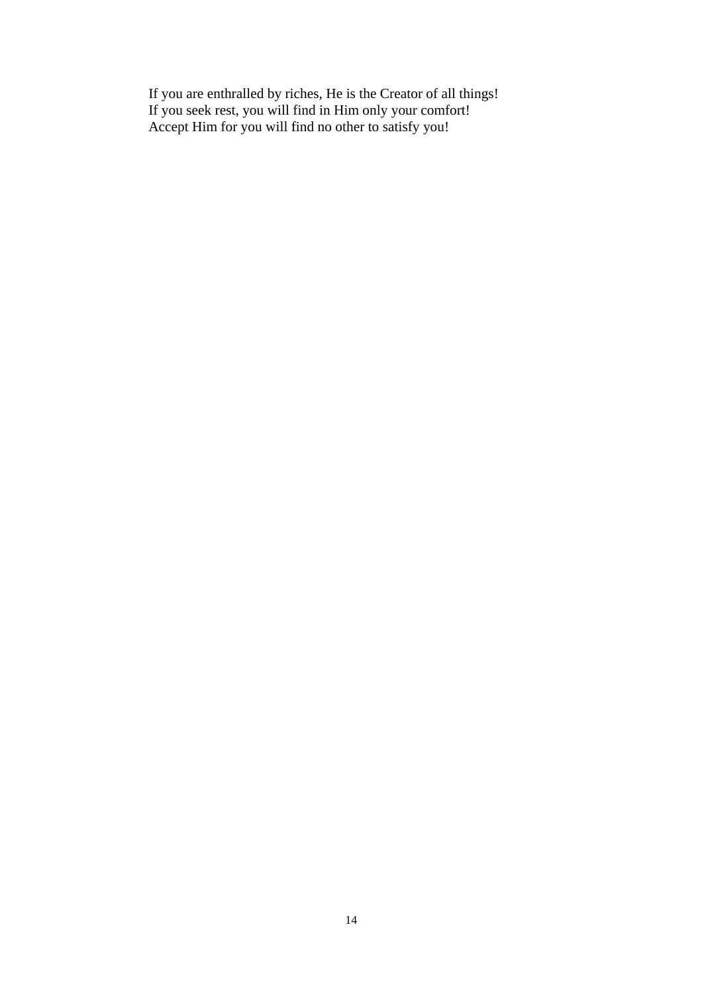If you are enthralled by riches, He is the Creator of all things! If you seek rest, you will find in Him only your comfort! Accept Him for you will find no other to satisfy you!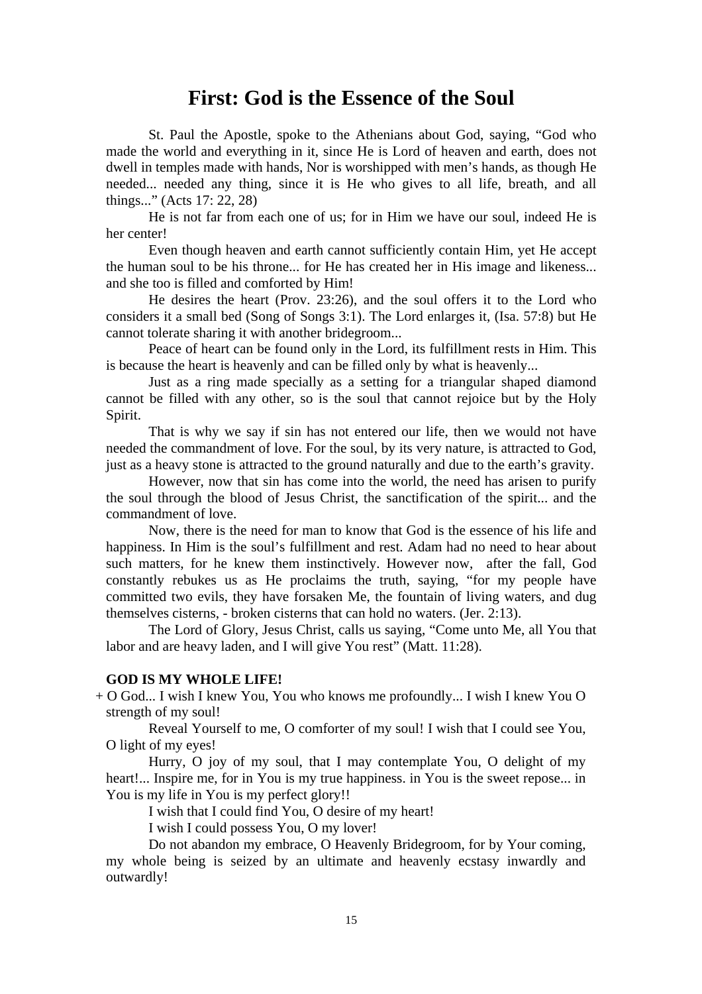## **First: God is the Essence of the Soul**

 St. Paul the Apostle, spoke to the Athenians about God, saying, "God who made the world and everything in it, since He is Lord of heaven and earth, does not dwell in temples made with hands, Nor is worshipped with men's hands, as though He needed... needed any thing, since it is He who gives to all life, breath, and all things..." (Acts 17: 22, 28)

 He is not far from each one of us; for in Him we have our soul, indeed He is her center!

 Even though heaven and earth cannot sufficiently contain Him, yet He accept the human soul to be his throne... for He has created her in His image and likeness... and she too is filled and comforted by Him!

 He desires the heart (Prov. 23:26), and the soul offers it to the Lord who considers it a small bed (Song of Songs 3:1). The Lord enlarges it, (Isa. 57:8) but He cannot tolerate sharing it with another bridegroom...

 Peace of heart can be found only in the Lord, its fulfillment rests in Him. This is because the heart is heavenly and can be filled only by what is heavenly...

 Just as a ring made specially as a setting for a triangular shaped diamond cannot be filled with any other, so is the soul that cannot rejoice but by the Holy Spirit.

 That is why we say if sin has not entered our life, then we would not have needed the commandment of love. For the soul, by its very nature, is attracted to God, just as a heavy stone is attracted to the ground naturally and due to the earth's gravity.

 However, now that sin has come into the world, the need has arisen to purify the soul through the blood of Jesus Christ, the sanctification of the spirit... and the commandment of love.

 Now, there is the need for man to know that God is the essence of his life and happiness. In Him is the soul's fulfillment and rest. Adam had no need to hear about such matters, for he knew them instinctively. However now, after the fall, God constantly rebukes us as He proclaims the truth, saying, "for my people have committed two evils, they have forsaken Me, the fountain of living waters, and dug themselves cisterns, - broken cisterns that can hold no waters. (Jer. 2:13).

 The Lord of Glory, Jesus Christ, calls us saying, "Come unto Me, all You that labor and are heavy laden, and I will give You rest" (Matt. 11:28).

#### **GOD IS MY WHOLE LIFE!**

+ O God... I wish I knew You, You who knows me profoundly... I wish I knew You O strength of my soul!

 Reveal Yourself to me, O comforter of my soul! I wish that I could see You, O light of my eyes!

 Hurry, O joy of my soul, that I may contemplate You, O delight of my heart!... Inspire me, for in You is my true happiness. in You is the sweet repose... in You is my life in You is my perfect glory!!

I wish that I could find You, O desire of my heart!

I wish I could possess You, O my lover!

 Do not abandon my embrace, O Heavenly Bridegroom, for by Your coming, my whole being is seized by an ultimate and heavenly ecstasy inwardly and outwardly!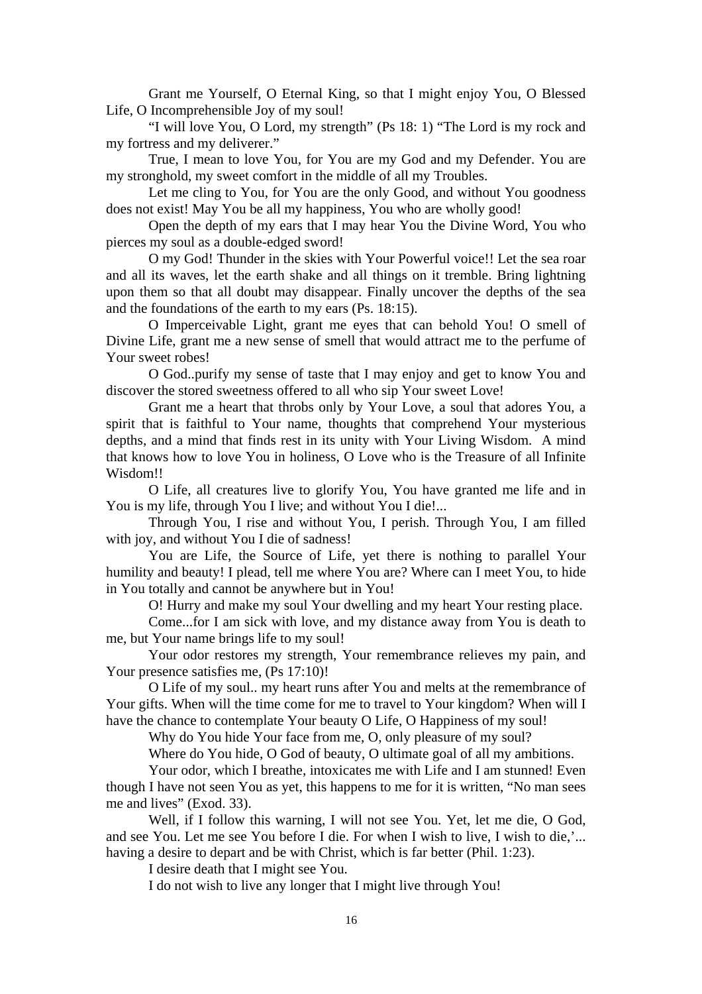Grant me Yourself, O Eternal King, so that I might enjoy You, O Blessed Life, O Incomprehensible Joy of my soul!

 "I will love You, O Lord, my strength" (Ps 18: 1) "The Lord is my rock and my fortress and my deliverer."

 True, I mean to love You, for You are my God and my Defender. You are my stronghold, my sweet comfort in the middle of all my Troubles.

 Let me cling to You, for You are the only Good, and without You goodness does not exist! May You be all my happiness, You who are wholly good!

 Open the depth of my ears that I may hear You the Divine Word, You who pierces my soul as a double-edged sword!

 O my God! Thunder in the skies with Your Powerful voice!! Let the sea roar and all its waves, let the earth shake and all things on it tremble. Bring lightning upon them so that all doubt may disappear. Finally uncover the depths of the sea and the foundations of the earth to my ears (Ps. 18:15).

 O Imperceivable Light, grant me eyes that can behold You! O smell of Divine Life, grant me a new sense of smell that would attract me to the perfume of Your sweet robes!

 O God..purify my sense of taste that I may enjoy and get to know You and discover the stored sweetness offered to all who sip Your sweet Love!

 Grant me a heart that throbs only by Your Love, a soul that adores You, a spirit that is faithful to Your name, thoughts that comprehend Your mysterious depths, and a mind that finds rest in its unity with Your Living Wisdom. A mind that knows how to love You in holiness, O Love who is the Treasure of all Infinite Wisdom!!

 O Life, all creatures live to glorify You, You have granted me life and in You is my life, through You I live; and without You I die!...

 Through You, I rise and without You, I perish. Through You, I am filled with joy, and without You I die of sadness!

 You are Life, the Source of Life, yet there is nothing to parallel Your humility and beauty! I plead, tell me where You are? Where can I meet You, to hide in You totally and cannot be anywhere but in You!

O! Hurry and make my soul Your dwelling and my heart Your resting place.

 Come...for I am sick with love, and my distance away from You is death to me, but Your name brings life to my soul!

 Your odor restores my strength, Your remembrance relieves my pain, and Your presence satisfies me,  $(Ps 17:10)$ !

 O Life of my soul.. my heart runs after You and melts at the remembrance of Your gifts. When will the time come for me to travel to Your kingdom? When will I have the chance to contemplate Your beauty O Life, O Happiness of my soul!

Why do You hide Your face from me, O, only pleasure of my soul?

Where do You hide, O God of beauty, O ultimate goal of all my ambitions.

 Your odor, which I breathe, intoxicates me with Life and I am stunned! Even though I have not seen You as yet, this happens to me for it is written, "No man sees me and lives" (Exod. 33).

 Well, if I follow this warning, I will not see You. Yet, let me die, O God, and see You. Let me see You before I die. For when I wish to live, I wish to die,'... having a desire to depart and be with Christ, which is far better (Phil. 1:23).

I desire death that I might see You.

I do not wish to live any longer that I might live through You!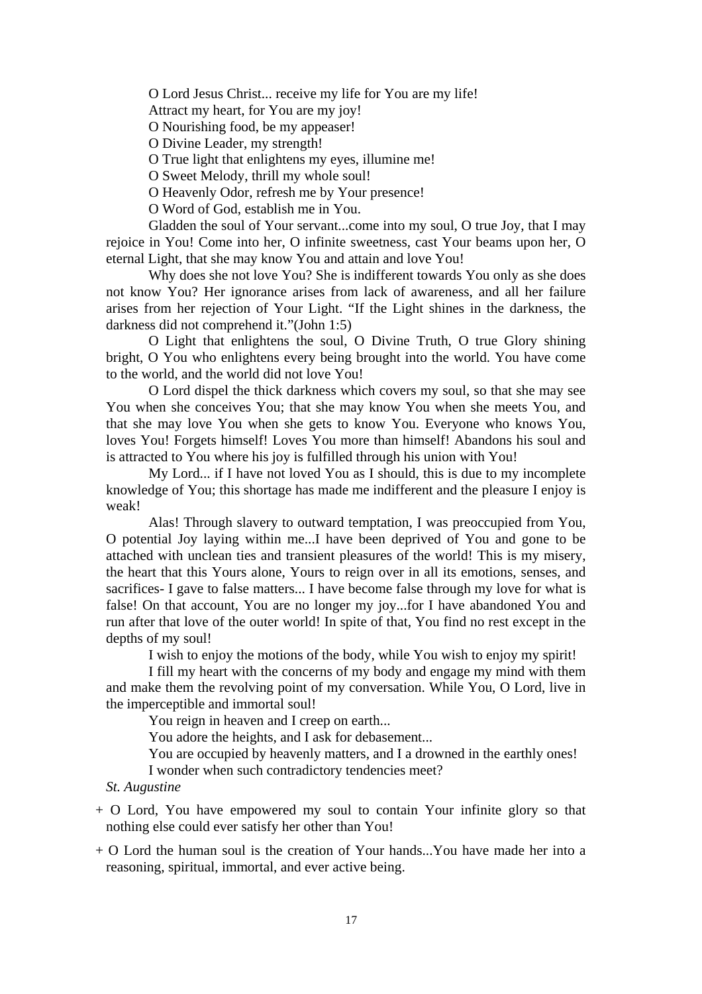O Lord Jesus Christ... receive my life for You are my life!

Attract my heart, for You are my joy!

O Nourishing food, be my appeaser!

O Divine Leader, my strength!

O True light that enlightens my eyes, illumine me!

O Sweet Melody, thrill my whole soul!

O Heavenly Odor, refresh me by Your presence!

O Word of God, establish me in You.

 Gladden the soul of Your servant...come into my soul, O true Joy, that I may rejoice in You! Come into her, O infinite sweetness, cast Your beams upon her, O eternal Light, that she may know You and attain and love You!

 Why does she not love You? She is indifferent towards You only as she does not know You? Her ignorance arises from lack of awareness, and all her failure arises from her rejection of Your Light. "If the Light shines in the darkness, the darkness did not comprehend it."(John 1:5)

 O Light that enlightens the soul, O Divine Truth, O true Glory shining bright, O You who enlightens every being brought into the world. You have come to the world, and the world did not love You!

 O Lord dispel the thick darkness which covers my soul, so that she may see You when she conceives You; that she may know You when she meets You, and that she may love You when she gets to know You. Everyone who knows You, loves You! Forgets himself! Loves You more than himself! Abandons his soul and is attracted to You where his joy is fulfilled through his union with You!

 My Lord... if I have not loved You as I should, this is due to my incomplete knowledge of You; this shortage has made me indifferent and the pleasure I enjoy is weak!

 Alas! Through slavery to outward temptation, I was preoccupied from You, O potential Joy laying within me...I have been deprived of You and gone to be attached with unclean ties and transient pleasures of the world! This is my misery, the heart that this Yours alone, Yours to reign over in all its emotions, senses, and sacrifices- I gave to false matters... I have become false through my love for what is false! On that account, You are no longer my joy...for I have abandoned You and run after that love of the outer world! In spite of that, You find no rest except in the depths of my soul!

I wish to enjoy the motions of the body, while You wish to enjoy my spirit!

 I fill my heart with the concerns of my body and engage my mind with them and make them the revolving point of my conversation. While You, O Lord, live in the imperceptible and immortal soul!

You reign in heaven and I creep on earth...

You adore the heights, and I ask for debasement...

 You are occupied by heavenly matters, and I a drowned in the earthly ones! I wonder when such contradictory tendencies meet?

*St. Augustine* 

+ O Lord, You have empowered my soul to contain Your infinite glory so that nothing else could ever satisfy her other than You!

+ O Lord the human soul is the creation of Your hands...You have made her into a reasoning, spiritual, immortal, and ever active being.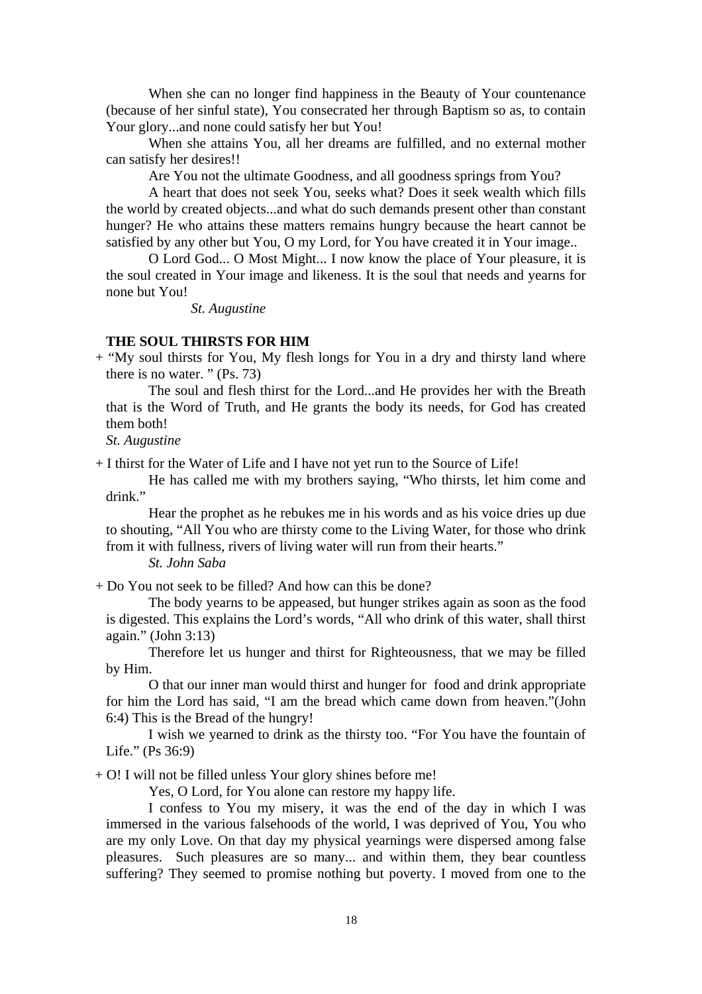When she can no longer find happiness in the Beauty of Your countenance (because of her sinful state), You consecrated her through Baptism so as, to contain Your glory...and none could satisfy her but You!

 When she attains You, all her dreams are fulfilled, and no external mother can satisfy her desires!!

Are You not the ultimate Goodness, and all goodness springs from You?

 A heart that does not seek You, seeks what? Does it seek wealth which fills the world by created objects...and what do such demands present other than constant hunger? He who attains these matters remains hungry because the heart cannot be satisfied by any other but You, O my Lord, for You have created it in Your image..

 O Lord God... O Most Might... I now know the place of Your pleasure, it is the soul created in Your image and likeness. It is the soul that needs and yearns for none but You!

 *St. Augustine* 

#### **THE SOUL THIRSTS FOR HIM**

+ "My soul thirsts for You, My flesh longs for You in a dry and thirsty land where there is no water. " (Ps. 73)

 The soul and flesh thirst for the Lord...and He provides her with the Breath that is the Word of Truth, and He grants the body its needs, for God has created them both!

*St. Augustine* 

+ I thirst for the Water of Life and I have not yet run to the Source of Life!

 He has called me with my brothers saying, "Who thirsts, let him come and drink."

 Hear the prophet as he rebukes me in his words and as his voice dries up due to shouting, "All You who are thirsty come to the Living Water, for those who drink from it with fullness, rivers of living water will run from their hearts."

 *St. John Saba* 

+ Do You not seek to be filled? And how can this be done?

 The body yearns to be appeased, but hunger strikes again as soon as the food is digested. This explains the Lord's words, "All who drink of this water, shall thirst again." (John 3:13)

 Therefore let us hunger and thirst for Righteousness, that we may be filled by Him.

 O that our inner man would thirst and hunger for food and drink appropriate for him the Lord has said, "I am the bread which came down from heaven."(John 6:4) This is the Bread of the hungry!

 I wish we yearned to drink as the thirsty too. "For You have the fountain of Life." (Ps 36:9)

+ O! I will not be filled unless Your glory shines before me!

Yes, O Lord, for You alone can restore my happy life.

 I confess to You my misery, it was the end of the day in which I was immersed in the various falsehoods of the world, I was deprived of You, You who are my only Love. On that day my physical yearnings were dispersed among false pleasures. Such pleasures are so many... and within them, they bear countless suffering? They seemed to promise nothing but poverty. I moved from one to the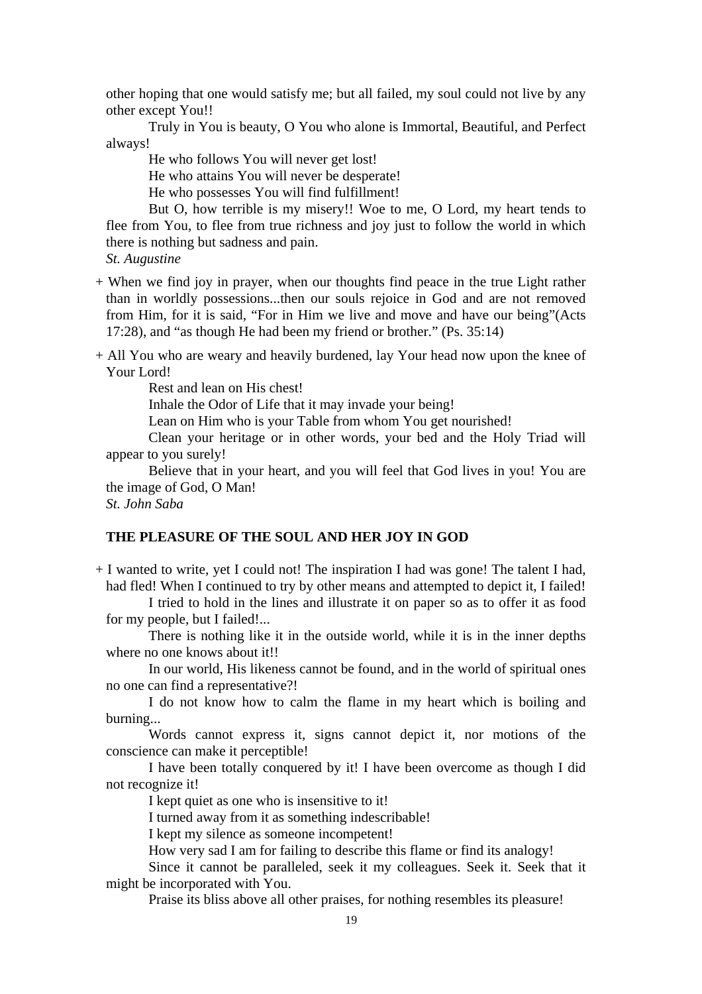other hoping that one would satisfy me; but all failed, my soul could not live by any other except You!!

 Truly in You is beauty, O You who alone is Immortal, Beautiful, and Perfect always!

He who follows You will never get lost!

He who attains You will never be desperate!

He who possesses You will find fulfillment!

 But O, how terrible is my misery!! Woe to me, O Lord, my heart tends to flee from You, to flee from true richness and joy just to follow the world in which there is nothing but sadness and pain.

*St. Augustine* 

+ When we find joy in prayer, when our thoughts find peace in the true Light rather than in worldly possessions...then our souls rejoice in God and are not removed from Him, for it is said, "For in Him we live and move and have our being"(Acts 17:28), and "as though He had been my friend or brother." (Ps. 35:14)

+ All You who are weary and heavily burdened, lay Your head now upon the knee of Your Lord!

Rest and lean on His chest!

Inhale the Odor of Life that it may invade your being!

Lean on Him who is your Table from whom You get nourished!

 Clean your heritage or in other words, your bed and the Holy Triad will appear to you surely!

 Believe that in your heart, and you will feel that God lives in you! You are the image of God, O Man!

*St. John Saba* 

#### **THE PLEASURE OF THE SOUL AND HER JOY IN GOD**

+ I wanted to write, yet I could not! The inspiration I had was gone! The talent I had, had fled! When I continued to try by other means and attempted to depict it, I failed!

 I tried to hold in the lines and illustrate it on paper so as to offer it as food for my people, but I failed!...

 There is nothing like it in the outside world, while it is in the inner depths where no one knows about it!!

 In our world, His likeness cannot be found, and in the world of spiritual ones no one can find a representative?!

 I do not know how to calm the flame in my heart which is boiling and burning...

 Words cannot express it, signs cannot depict it, nor motions of the conscience can make it perceptible!

 I have been totally conquered by it! I have been overcome as though I did not recognize it!

I kept quiet as one who is insensitive to it!

I turned away from it as something indescribable!

I kept my silence as someone incompetent!

How very sad I am for failing to describe this flame or find its analogy!

 Since it cannot be paralleled, seek it my colleagues. Seek it. Seek that it might be incorporated with You.

Praise its bliss above all other praises, for nothing resembles its pleasure!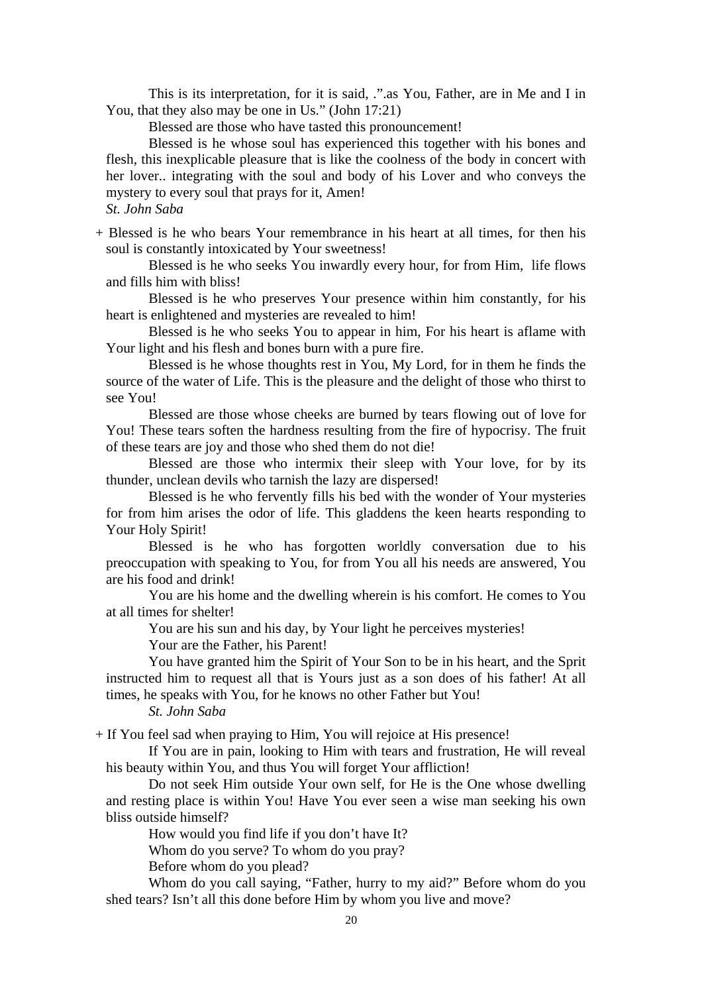This is its interpretation, for it is said, .".as You, Father, are in Me and I in You, that they also may be one in Us." (John 17:21)

Blessed are those who have tasted this pronouncement!

 Blessed is he whose soul has experienced this together with his bones and flesh, this inexplicable pleasure that is like the coolness of the body in concert with her lover.. integrating with the soul and body of his Lover and who conveys the mystery to every soul that prays for it, Amen!

*St. John Saba* 

+ Blessed is he who bears Your remembrance in his heart at all times, for then his soul is constantly intoxicated by Your sweetness!

 Blessed is he who seeks You inwardly every hour, for from Him, life flows and fills him with bliss!

 Blessed is he who preserves Your presence within him constantly, for his heart is enlightened and mysteries are revealed to him!

 Blessed is he who seeks You to appear in him, For his heart is aflame with Your light and his flesh and bones burn with a pure fire.

 Blessed is he whose thoughts rest in You, My Lord, for in them he finds the source of the water of Life. This is the pleasure and the delight of those who thirst to see You!

 Blessed are those whose cheeks are burned by tears flowing out of love for You! These tears soften the hardness resulting from the fire of hypocrisy. The fruit of these tears are joy and those who shed them do not die!

 Blessed are those who intermix their sleep with Your love, for by its thunder, unclean devils who tarnish the lazy are dispersed!

 Blessed is he who fervently fills his bed with the wonder of Your mysteries for from him arises the odor of life. This gladdens the keen hearts responding to Your Holy Spirit!

 Blessed is he who has forgotten worldly conversation due to his preoccupation with speaking to You, for from You all his needs are answered, You are his food and drink!

 You are his home and the dwelling wherein is his comfort. He comes to You at all times for shelter!

You are his sun and his day, by Your light he perceives mysteries!

Your are the Father, his Parent!

 You have granted him the Spirit of Your Son to be in his heart, and the Sprit instructed him to request all that is Yours just as a son does of his father! At all times, he speaks with You, for he knows no other Father but You!

 *St. John Saba* 

+ If You feel sad when praying to Him, You will rejoice at His presence!

 If You are in pain, looking to Him with tears and frustration, He will reveal his beauty within You, and thus You will forget Your affliction!

 Do not seek Him outside Your own self, for He is the One whose dwelling and resting place is within You! Have You ever seen a wise man seeking his own bliss outside himself?

How would you find life if you don't have It?

Whom do you serve? To whom do you pray?

Before whom do you plead?

 Whom do you call saying, "Father, hurry to my aid?" Before whom do you shed tears? Isn't all this done before Him by whom you live and move?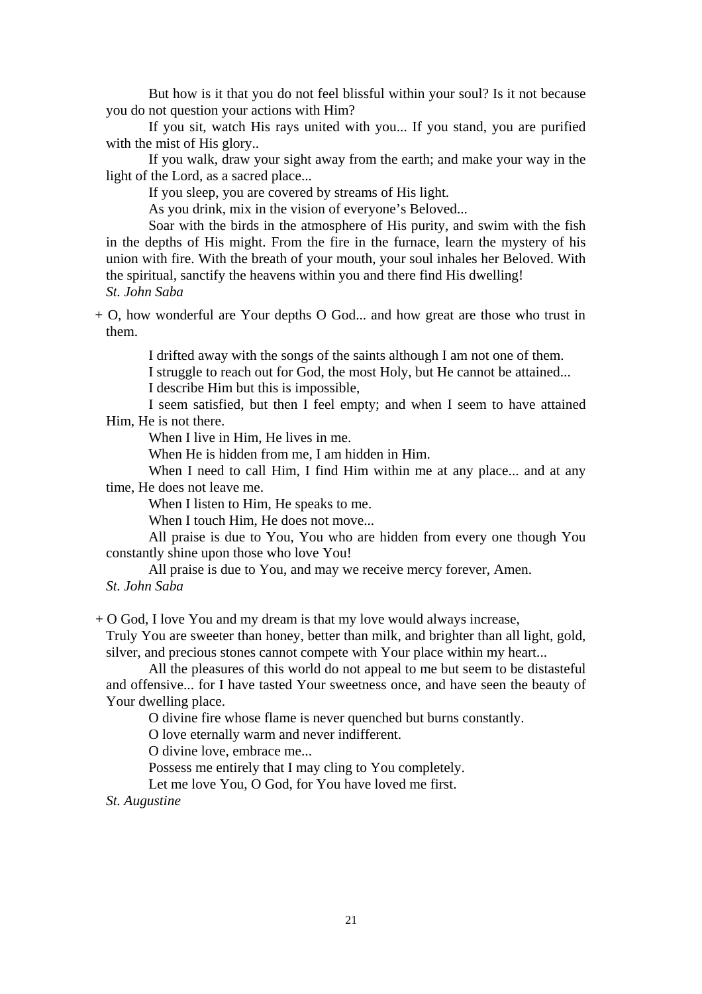But how is it that you do not feel blissful within your soul? Is it not because you do not question your actions with Him?

 If you sit, watch His rays united with you... If you stand, you are purified with the mist of His glory..

 If you walk, draw your sight away from the earth; and make your way in the light of the Lord, as a sacred place...

If you sleep, you are covered by streams of His light.

As you drink, mix in the vision of everyone's Beloved...

 Soar with the birds in the atmosphere of His purity, and swim with the fish in the depths of His might. From the fire in the furnace, learn the mystery of his union with fire. With the breath of your mouth, your soul inhales her Beloved. With the spiritual, sanctify the heavens within you and there find His dwelling! *St. John Saba* 

+ O, how wonderful are Your depths O God... and how great are those who trust in them.

> I drifted away with the songs of the saints although I am not one of them. I struggle to reach out for God, the most Holy, but He cannot be attained...

I describe Him but this is impossible,

 I seem satisfied, but then I feel empty; and when I seem to have attained Him, He is not there.

When I live in Him, He lives in me.

When He is hidden from me, I am hidden in Him.

 When I need to call Him, I find Him within me at any place... and at any time, He does not leave me.

When I listen to Him, He speaks to me.

When I touch Him, He does not move...

 All praise is due to You, You who are hidden from every one though You constantly shine upon those who love You!

All praise is due to You, and may we receive mercy forever, Amen.

*St. John Saba* 

+ O God, I love You and my dream is that my love would always increase,

 Truly You are sweeter than honey, better than milk, and brighter than all light, gold, silver, and precious stones cannot compete with Your place within my heart...

 All the pleasures of this world do not appeal to me but seem to be distasteful and offensive... for I have tasted Your sweetness once, and have seen the beauty of Your dwelling place.

O divine fire whose flame is never quenched but burns constantly.

O love eternally warm and never indifferent.

O divine love, embrace me...

Possess me entirely that I may cling to You completely.

Let me love You, O God, for You have loved me first.

*St. Augustine*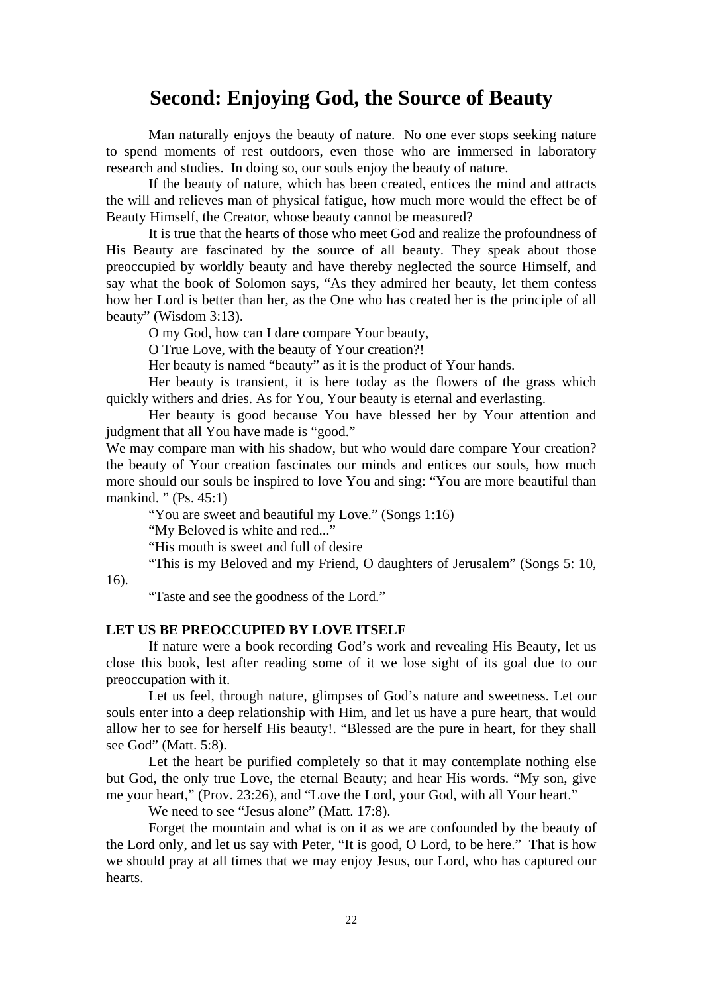## **Second: Enjoying God, the Source of Beauty**

 Man naturally enjoys the beauty of nature. No one ever stops seeking nature to spend moments of rest outdoors, even those who are immersed in laboratory research and studies. In doing so, our souls enjoy the beauty of nature.

 If the beauty of nature, which has been created, entices the mind and attracts the will and relieves man of physical fatigue, how much more would the effect be of Beauty Himself, the Creator, whose beauty cannot be measured?

 It is true that the hearts of those who meet God and realize the profoundness of His Beauty are fascinated by the source of all beauty. They speak about those preoccupied by worldly beauty and have thereby neglected the source Himself, and say what the book of Solomon says, "As they admired her beauty, let them confess how her Lord is better than her, as the One who has created her is the principle of all beauty" (Wisdom 3:13).

O my God, how can I dare compare Your beauty,

O True Love, with the beauty of Your creation?!

Her beauty is named "beauty" as it is the product of Your hands.

 Her beauty is transient, it is here today as the flowers of the grass which quickly withers and dries. As for You, Your beauty is eternal and everlasting.

 Her beauty is good because You have blessed her by Your attention and judgment that all You have made is "good."

We may compare man with his shadow, but who would dare compare Your creation? the beauty of Your creation fascinates our minds and entices our souls, how much more should our souls be inspired to love You and sing: "You are more beautiful than mankind. " (Ps. 45:1)

"You are sweet and beautiful my Love." (Songs 1:16)

"My Beloved is white and red..."

"His mouth is sweet and full of desire

 "This is my Beloved and my Friend, O daughters of Jerusalem" (Songs 5: 10, 16).

"Taste and see the goodness of the Lord."

#### **LET US BE PREOCCUPIED BY LOVE ITSELF**

 If nature were a book recording God's work and revealing His Beauty, let us close this book, lest after reading some of it we lose sight of its goal due to our preoccupation with it.

 Let us feel, through nature, glimpses of God's nature and sweetness. Let our souls enter into a deep relationship with Him, and let us have a pure heart, that would allow her to see for herself His beauty!. "Blessed are the pure in heart, for they shall see God" (Matt. 5:8).

 Let the heart be purified completely so that it may contemplate nothing else but God, the only true Love, the eternal Beauty; and hear His words. "My son, give me your heart," (Prov. 23:26), and "Love the Lord, your God, with all Your heart."

We need to see "Jesus alone" (Matt. 17:8).

 Forget the mountain and what is on it as we are confounded by the beauty of the Lord only, and let us say with Peter, "It is good, O Lord, to be here." That is how we should pray at all times that we may enjoy Jesus, our Lord, who has captured our hearts.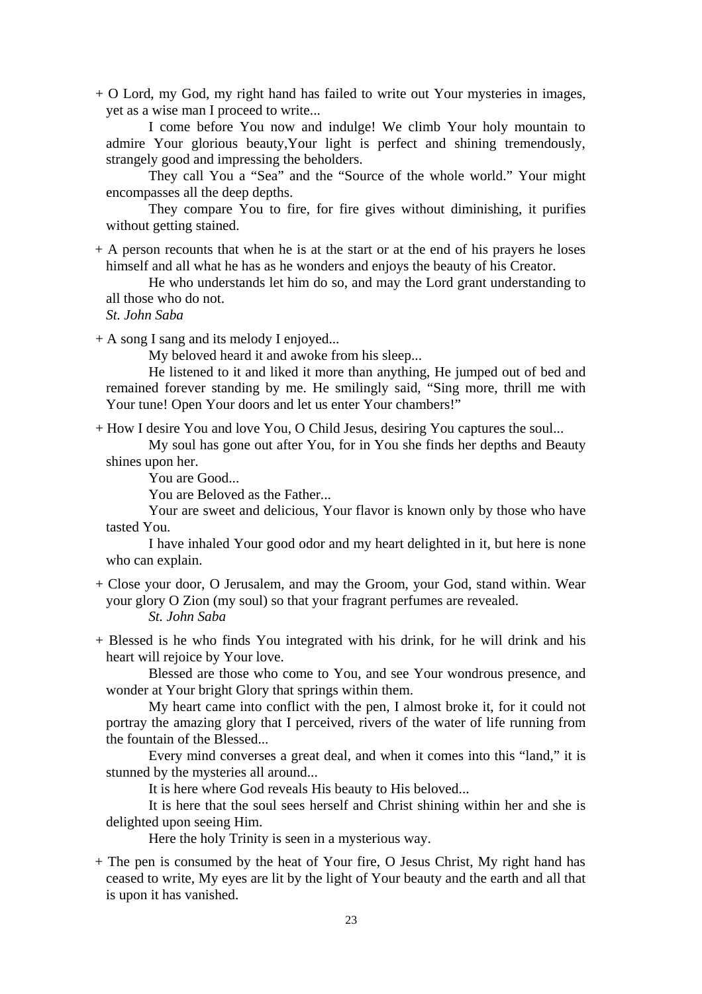+ O Lord, my God, my right hand has failed to write out Your mysteries in images, yet as a wise man I proceed to write...

 I come before You now and indulge! We climb Your holy mountain to admire Your glorious beauty,Your light is perfect and shining tremendously, strangely good and impressing the beholders.

 They call You a "Sea" and the "Source of the whole world." Your might encompasses all the deep depths.

 They compare You to fire, for fire gives without diminishing, it purifies without getting stained.

+ A person recounts that when he is at the start or at the end of his prayers he loses himself and all what he has as he wonders and enjoys the beauty of his Creator.

 He who understands let him do so, and may the Lord grant understanding to all those who do not.

*St. John Saba* 

+ A song I sang and its melody I enjoyed...

My beloved heard it and awoke from his sleep...

 He listened to it and liked it more than anything, He jumped out of bed and remained forever standing by me. He smilingly said, "Sing more, thrill me with Your tune! Open Your doors and let us enter Your chambers!"

+ How I desire You and love You, O Child Jesus, desiring You captures the soul...

 My soul has gone out after You, for in You she finds her depths and Beauty shines upon her.

You are Good...

You are Beloved as the Father...

 Your are sweet and delicious, Your flavor is known only by those who have tasted You.

 I have inhaled Your good odor and my heart delighted in it, but here is none who can explain.

+ Close your door, O Jerusalem, and may the Groom, your God, stand within. Wear your glory O Zion (my soul) so that your fragrant perfumes are revealed.  *St. John Saba* 

+ Blessed is he who finds You integrated with his drink, for he will drink and his heart will rejoice by Your love.

 Blessed are those who come to You, and see Your wondrous presence, and wonder at Your bright Glory that springs within them.

 My heart came into conflict with the pen, I almost broke it, for it could not portray the amazing glory that I perceived, rivers of the water of life running from the fountain of the Blessed...

 Every mind converses a great deal, and when it comes into this "land," it is stunned by the mysteries all around...

It is here where God reveals His beauty to His beloved...

 It is here that the soul sees herself and Christ shining within her and she is delighted upon seeing Him.

Here the holy Trinity is seen in a mysterious way.

+ The pen is consumed by the heat of Your fire, O Jesus Christ, My right hand has ceased to write, My eyes are lit by the light of Your beauty and the earth and all that is upon it has vanished.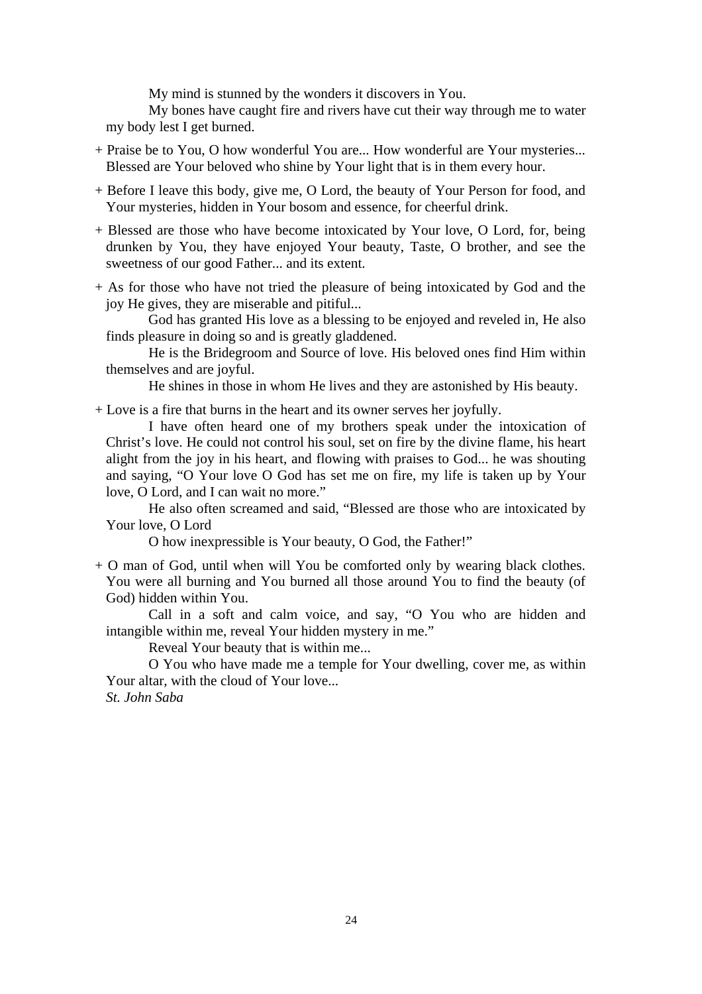My mind is stunned by the wonders it discovers in You.

 My bones have caught fire and rivers have cut their way through me to water my body lest I get burned.

- + Praise be to You, O how wonderful You are... How wonderful are Your mysteries... Blessed are Your beloved who shine by Your light that is in them every hour.
- + Before I leave this body, give me, O Lord, the beauty of Your Person for food, and Your mysteries, hidden in Your bosom and essence, for cheerful drink.
- + Blessed are those who have become intoxicated by Your love, O Lord, for, being drunken by You, they have enjoyed Your beauty, Taste, O brother, and see the sweetness of our good Father... and its extent.
- + As for those who have not tried the pleasure of being intoxicated by God and the joy He gives, they are miserable and pitiful...

 God has granted His love as a blessing to be enjoyed and reveled in, He also finds pleasure in doing so and is greatly gladdened.

 He is the Bridegroom and Source of love. His beloved ones find Him within themselves and are joyful.

He shines in those in whom He lives and they are astonished by His beauty.

+ Love is a fire that burns in the heart and its owner serves her joyfully.

 I have often heard one of my brothers speak under the intoxication of Christ's love. He could not control his soul, set on fire by the divine flame, his heart alight from the joy in his heart, and flowing with praises to God... he was shouting and saying, "O Your love O God has set me on fire, my life is taken up by Your love, O Lord, and I can wait no more."

 He also often screamed and said, "Blessed are those who are intoxicated by Your love, O Lord

O how inexpressible is Your beauty, O God, the Father!"

+ O man of God, until when will You be comforted only by wearing black clothes. You were all burning and You burned all those around You to find the beauty (of God) hidden within You.

 Call in a soft and calm voice, and say, "O You who are hidden and intangible within me, reveal Your hidden mystery in me."

Reveal Your beauty that is within me...

 O You who have made me a temple for Your dwelling, cover me, as within Your altar, with the cloud of Your love.

*St. John Saba*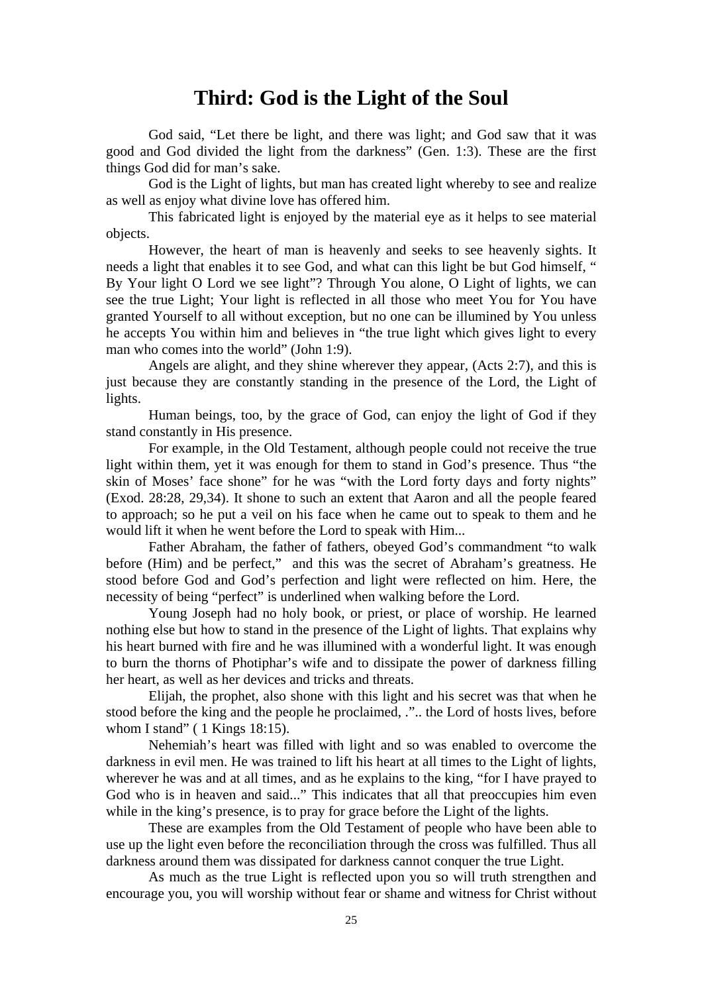## **Third: God is the Light of the Soul**

 God said, "Let there be light, and there was light; and God saw that it was good and God divided the light from the darkness" (Gen. 1:3). These are the first things God did for man's sake.

God is the Light of lights, but man has created light whereby to see and realize as well as enjoy what divine love has offered him.

 This fabricated light is enjoyed by the material eye as it helps to see material objects.

 However, the heart of man is heavenly and seeks to see heavenly sights. It needs a light that enables it to see God, and what can this light be but God himself, " By Your light O Lord we see light"? Through You alone, O Light of lights, we can see the true Light; Your light is reflected in all those who meet You for You have granted Yourself to all without exception, but no one can be illumined by You unless he accepts You within him and believes in "the true light which gives light to every man who comes into the world" (John 1:9).

 Angels are alight, and they shine wherever they appear, (Acts 2:7), and this is just because they are constantly standing in the presence of the Lord, the Light of lights.

 Human beings, too, by the grace of God, can enjoy the light of God if they stand constantly in His presence.

 For example, in the Old Testament, although people could not receive the true light within them, yet it was enough for them to stand in God's presence. Thus "the skin of Moses' face shone" for he was "with the Lord forty days and forty nights" (Exod. 28:28, 29,34). It shone to such an extent that Aaron and all the people feared to approach; so he put a veil on his face when he came out to speak to them and he would lift it when he went before the Lord to speak with Him...

 Father Abraham, the father of fathers, obeyed God's commandment "to walk before (Him) and be perfect," and this was the secret of Abraham's greatness. He stood before God and God's perfection and light were reflected on him. Here, the necessity of being "perfect" is underlined when walking before the Lord.

 Young Joseph had no holy book, or priest, or place of worship. He learned nothing else but how to stand in the presence of the Light of lights. That explains why his heart burned with fire and he was illumined with a wonderful light. It was enough to burn the thorns of Photiphar's wife and to dissipate the power of darkness filling her heart, as well as her devices and tricks and threats.

 Elijah, the prophet, also shone with this light and his secret was that when he stood before the king and the people he proclaimed, .".. the Lord of hosts lives, before whom I stand" (1 Kings 18:15).

 Nehemiah's heart was filled with light and so was enabled to overcome the darkness in evil men. He was trained to lift his heart at all times to the Light of lights, wherever he was and at all times, and as he explains to the king, "for I have prayed to God who is in heaven and said..." This indicates that all that preoccupies him even while in the king's presence, is to pray for grace before the Light of the lights.

 These are examples from the Old Testament of people who have been able to use up the light even before the reconciliation through the cross was fulfilled. Thus all darkness around them was dissipated for darkness cannot conquer the true Light.

 As much as the true Light is reflected upon you so will truth strengthen and encourage you, you will worship without fear or shame and witness for Christ without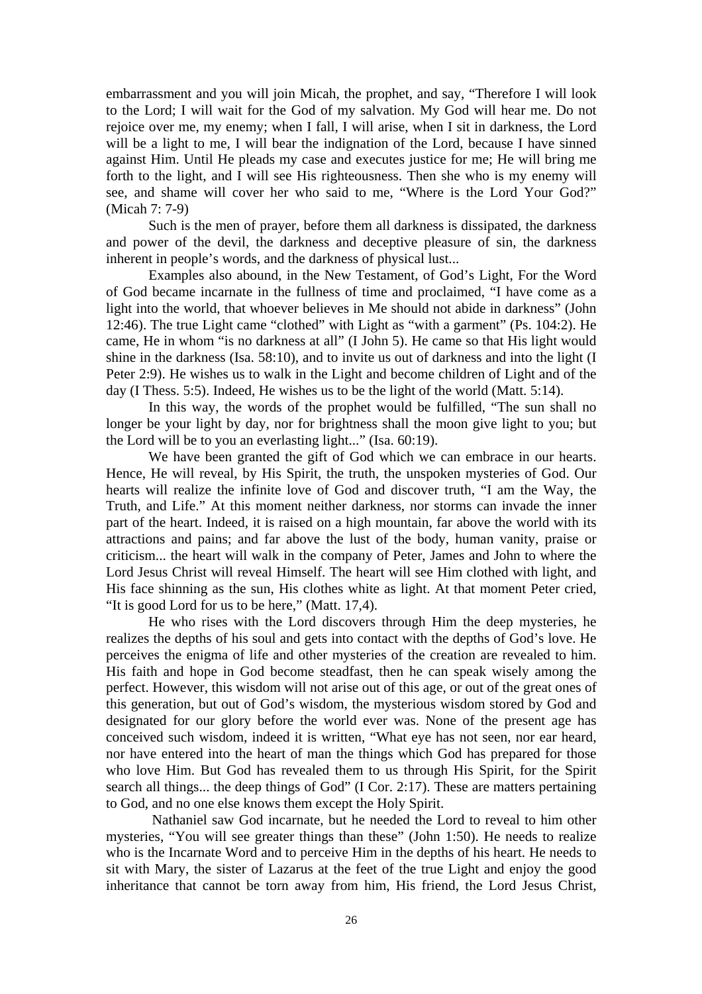embarrassment and you will join Micah, the prophet, and say, "Therefore I will look to the Lord; I will wait for the God of my salvation. My God will hear me. Do not rejoice over me, my enemy; when I fall, I will arise, when I sit in darkness, the Lord will be a light to me, I will bear the indignation of the Lord, because I have sinned against Him. Until He pleads my case and executes justice for me; He will bring me forth to the light, and I will see His righteousness. Then she who is my enemy will see, and shame will cover her who said to me, "Where is the Lord Your God?" (Micah 7: 7-9)

 Such is the men of prayer, before them all darkness is dissipated, the darkness and power of the devil, the darkness and deceptive pleasure of sin, the darkness inherent in people's words, and the darkness of physical lust...

 Examples also abound, in the New Testament, of God's Light, For the Word of God became incarnate in the fullness of time and proclaimed, "I have come as a light into the world, that whoever believes in Me should not abide in darkness" (John 12:46). The true Light came "clothed" with Light as "with a garment" (Ps. 104:2). He came, He in whom "is no darkness at all" (I John 5). He came so that His light would shine in the darkness (Isa. 58:10), and to invite us out of darkness and into the light (I Peter 2:9). He wishes us to walk in the Light and become children of Light and of the day (I Thess. 5:5). Indeed, He wishes us to be the light of the world (Matt. 5:14).

 In this way, the words of the prophet would be fulfilled, "The sun shall no longer be your light by day, nor for brightness shall the moon give light to you; but the Lord will be to you an everlasting light..." (Isa. 60:19).

 We have been granted the gift of God which we can embrace in our hearts. Hence, He will reveal, by His Spirit, the truth, the unspoken mysteries of God. Our hearts will realize the infinite love of God and discover truth, "I am the Way, the Truth, and Life." At this moment neither darkness, nor storms can invade the inner part of the heart. Indeed, it is raised on a high mountain, far above the world with its attractions and pains; and far above the lust of the body, human vanity, praise or criticism... the heart will walk in the company of Peter, James and John to where the Lord Jesus Christ will reveal Himself. The heart will see Him clothed with light, and His face shinning as the sun, His clothes white as light. At that moment Peter cried, "It is good Lord for us to be here," (Matt. 17,4).

 He who rises with the Lord discovers through Him the deep mysteries, he realizes the depths of his soul and gets into contact with the depths of God's love. He perceives the enigma of life and other mysteries of the creation are revealed to him. His faith and hope in God become steadfast, then he can speak wisely among the perfect. However, this wisdom will not arise out of this age, or out of the great ones of this generation, but out of God's wisdom, the mysterious wisdom stored by God and designated for our glory before the world ever was. None of the present age has conceived such wisdom, indeed it is written, "What eye has not seen, nor ear heard, nor have entered into the heart of man the things which God has prepared for those who love Him. But God has revealed them to us through His Spirit, for the Spirit search all things... the deep things of God" (I Cor. 2:17). These are matters pertaining to God, and no one else knows them except the Holy Spirit.

 Nathaniel saw God incarnate, but he needed the Lord to reveal to him other mysteries, "You will see greater things than these" (John 1:50). He needs to realize who is the Incarnate Word and to perceive Him in the depths of his heart. He needs to sit with Mary, the sister of Lazarus at the feet of the true Light and enjoy the good inheritance that cannot be torn away from him, His friend, the Lord Jesus Christ,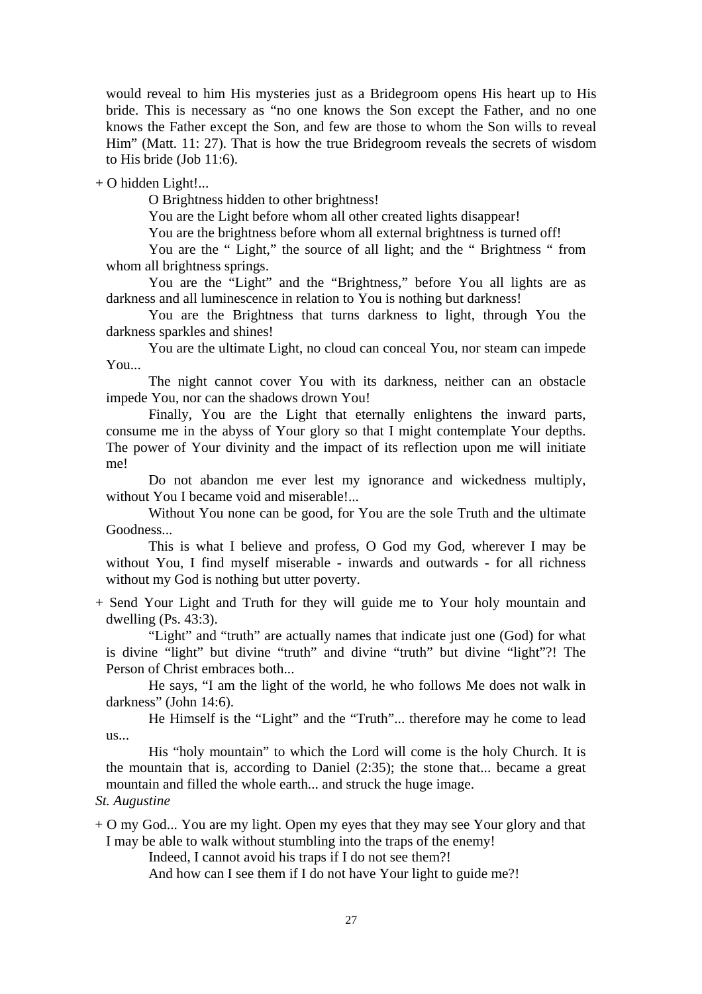would reveal to him His mysteries just as a Bridegroom opens His heart up to His bride. This is necessary as "no one knows the Son except the Father, and no one knows the Father except the Son, and few are those to whom the Son wills to reveal Him" (Matt. 11: 27). That is how the true Bridegroom reveals the secrets of wisdom to His bride (Job 11:6).

+ O hidden Light!...

O Brightness hidden to other brightness!

You are the Light before whom all other created lights disappear!

You are the brightness before whom all external brightness is turned off!

You are the "Light," the source of all light; and the "Brightness " from whom all brightness springs.

 You are the "Light" and the "Brightness," before You all lights are as darkness and all luminescence in relation to You is nothing but darkness!

 You are the Brightness that turns darkness to light, through You the darkness sparkles and shines!

 You are the ultimate Light, no cloud can conceal You, nor steam can impede You...

 The night cannot cover You with its darkness, neither can an obstacle impede You, nor can the shadows drown You!

 Finally, You are the Light that eternally enlightens the inward parts, consume me in the abyss of Your glory so that I might contemplate Your depths. The power of Your divinity and the impact of its reflection upon me will initiate me!

 Do not abandon me ever lest my ignorance and wickedness multiply, without You I became void and miserable!...

 Without You none can be good, for You are the sole Truth and the ultimate Goodness...

 This is what I believe and profess, O God my God, wherever I may be without You, I find myself miserable - inwards and outwards - for all richness without my God is nothing but utter poverty.

+ Send Your Light and Truth for they will guide me to Your holy mountain and dwelling (Ps. 43:3).

 "Light" and "truth" are actually names that indicate just one (God) for what is divine "light" but divine "truth" and divine "truth" but divine "light"?! The Person of Christ embraces both...

 He says, "I am the light of the world, he who follows Me does not walk in darkness" (John 14:6).

 He Himself is the "Light" and the "Truth"... therefore may he come to lead us...

 His "holy mountain" to which the Lord will come is the holy Church. It is the mountain that is, according to Daniel (2:35); the stone that... became a great mountain and filled the whole earth... and struck the huge image.

### *St. Augustine*

+ O my God... You are my light. Open my eyes that they may see Your glory and that I may be able to walk without stumbling into the traps of the enemy!

Indeed, I cannot avoid his traps if I do not see them?!

And how can I see them if I do not have Your light to guide me?!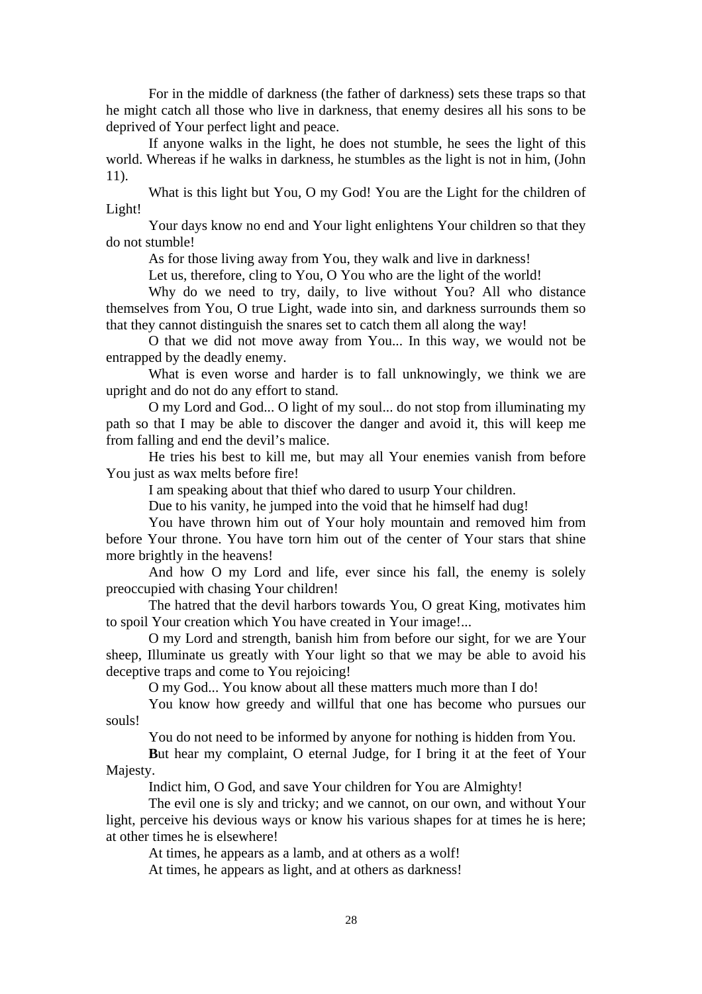For in the middle of darkness (the father of darkness) sets these traps so that he might catch all those who live in darkness, that enemy desires all his sons to be deprived of Your perfect light and peace.

 If anyone walks in the light, he does not stumble, he sees the light of this world. Whereas if he walks in darkness, he stumbles as the light is not in him, (John 11).

What is this light but You, O my God! You are the Light for the children of Light!

Your days know no end and Your light enlightens Your children so that they do not stumble!

As for those living away from You, they walk and live in darkness!

Let us, therefore, cling to You, O You who are the light of the world!

 Why do we need to try, daily, to live without You? All who distance themselves from You, O true Light, wade into sin, and darkness surrounds them so that they cannot distinguish the snares set to catch them all along the way!

 O that we did not move away from You... In this way, we would not be entrapped by the deadly enemy.

 What is even worse and harder is to fall unknowingly, we think we are upright and do not do any effort to stand.

 O my Lord and God... O light of my soul... do not stop from illuminating my path so that I may be able to discover the danger and avoid it, this will keep me from falling and end the devil's malice.

 He tries his best to kill me, but may all Your enemies vanish from before You just as wax melts before fire!

I am speaking about that thief who dared to usurp Your children.

Due to his vanity, he jumped into the void that he himself had dug!

 You have thrown him out of Your holy mountain and removed him from before Your throne. You have torn him out of the center of Your stars that shine more brightly in the heavens!

 And how O my Lord and life, ever since his fall, the enemy is solely preoccupied with chasing Your children!

 The hatred that the devil harbors towards You, O great King, motivates him to spoil Your creation which You have created in Your image!...

 O my Lord and strength, banish him from before our sight, for we are Your sheep, Illuminate us greatly with Your light so that we may be able to avoid his deceptive traps and come to You rejoicing!

O my God... You know about all these matters much more than I do!

 You know how greedy and willful that one has become who pursues our souls!

You do not need to be informed by anyone for nothing is hidden from You.

 **B**ut hear my complaint, O eternal Judge, for I bring it at the feet of Your Majesty.

Indict him, O God, and save Your children for You are Almighty!

 The evil one is sly and tricky; and we cannot, on our own, and without Your light, perceive his devious ways or know his various shapes for at times he is here; at other times he is elsewhere!

At times, he appears as a lamb, and at others as a wolf!

At times, he appears as light, and at others as darkness!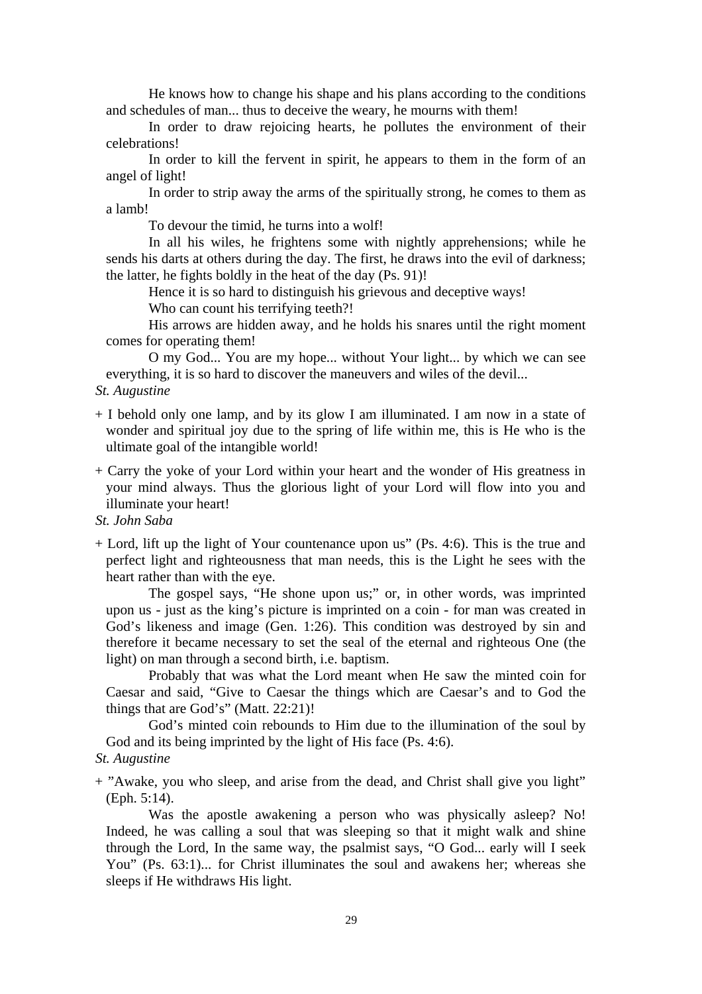He knows how to change his shape and his plans according to the conditions and schedules of man... thus to deceive the weary, he mourns with them!

 In order to draw rejoicing hearts, he pollutes the environment of their celebrations!

 In order to kill the fervent in spirit, he appears to them in the form of an angel of light!

 In order to strip away the arms of the spiritually strong, he comes to them as a lamb!

To devour the timid, he turns into a wolf!

 In all his wiles, he frightens some with nightly apprehensions; while he sends his darts at others during the day. The first, he draws into the evil of darkness; the latter, he fights boldly in the heat of the day (Ps. 91)!

Hence it is so hard to distinguish his grievous and deceptive ways!

Who can count his terrifying teeth?!

 His arrows are hidden away, and he holds his snares until the right moment comes for operating them!

 O my God... You are my hope... without Your light... by which we can see everything, it is so hard to discover the maneuvers and wiles of the devil...

- *St. Augustine*
- + I behold only one lamp, and by its glow I am illuminated. I am now in a state of wonder and spiritual joy due to the spring of life within me, this is He who is the ultimate goal of the intangible world!
- + Carry the yoke of your Lord within your heart and the wonder of His greatness in your mind always. Thus the glorious light of your Lord will flow into you and illuminate your heart!

*St. John Saba* 

+ Lord, lift up the light of Your countenance upon us" (Ps. 4:6). This is the true and perfect light and righteousness that man needs, this is the Light he sees with the heart rather than with the eye.

 The gospel says, "He shone upon us;" or, in other words, was imprinted upon us - just as the king's picture is imprinted on a coin - for man was created in God's likeness and image (Gen. 1:26). This condition was destroyed by sin and therefore it became necessary to set the seal of the eternal and righteous One (the light) on man through a second birth, i.e. baptism.

 Probably that was what the Lord meant when He saw the minted coin for Caesar and said, "Give to Caesar the things which are Caesar's and to God the things that are God's" (Matt. 22:21)!

 God's minted coin rebounds to Him due to the illumination of the soul by God and its being imprinted by the light of His face (Ps. 4:6).

*St. Augustine* 

+ "Awake, you who sleep, and arise from the dead, and Christ shall give you light" (Eph. 5:14).

 Was the apostle awakening a person who was physically asleep? No! Indeed, he was calling a soul that was sleeping so that it might walk and shine through the Lord, In the same way, the psalmist says, "O God... early will I seek You" (Ps. 63:1)... for Christ illuminates the soul and awakens her; whereas she sleeps if He withdraws His light.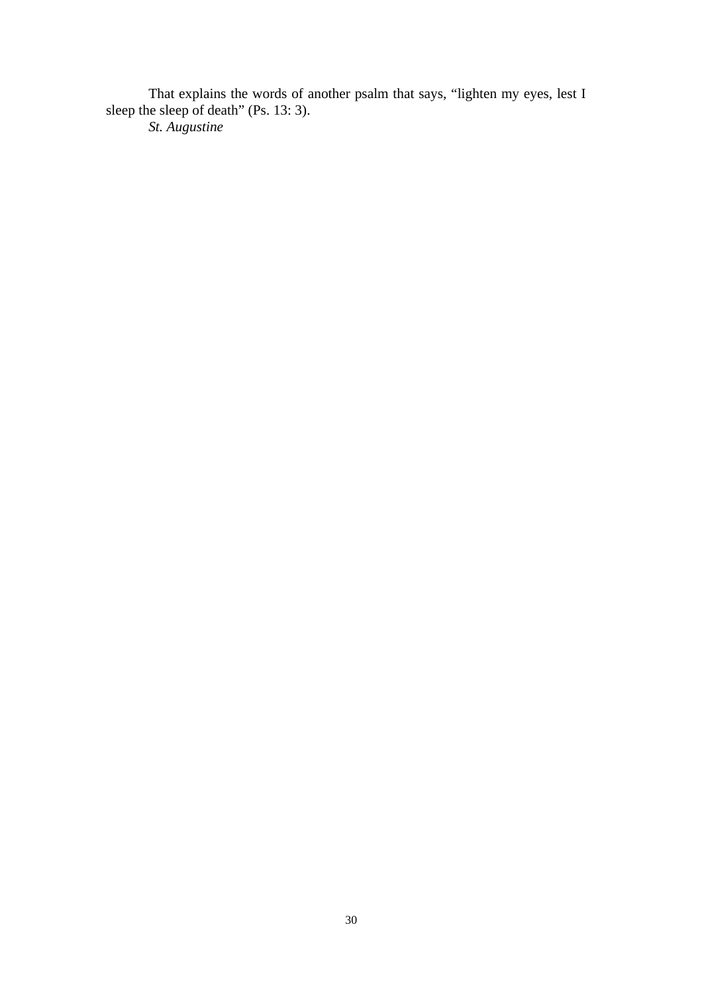That explains the words of another psalm that says, "lighten my eyes, lest I sleep the sleep of death" (Ps. 13: 3).  *St. Augustine*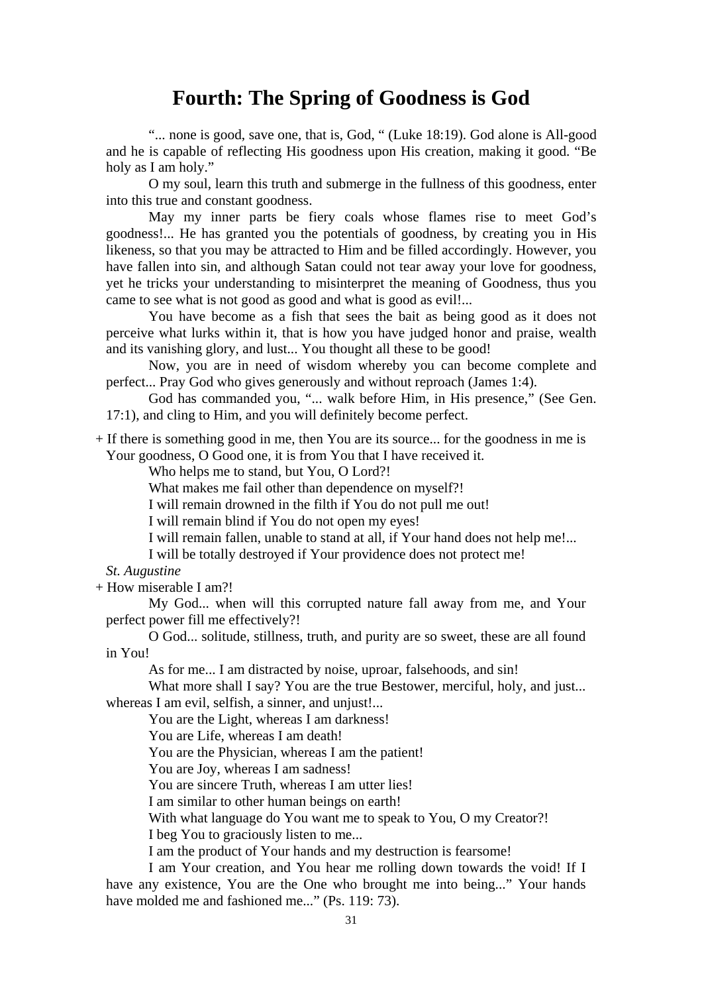## **Fourth: The Spring of Goodness is God**

 "... none is good, save one, that is, God, " (Luke 18:19). God alone is All-good and he is capable of reflecting His goodness upon His creation, making it good. "Be holy as I am holy."

 O my soul, learn this truth and submerge in the fullness of this goodness, enter into this true and constant goodness.

 May my inner parts be fiery coals whose flames rise to meet God's goodness!... He has granted you the potentials of goodness, by creating you in His likeness, so that you may be attracted to Him and be filled accordingly. However, you have fallen into sin, and although Satan could not tear away your love for goodness, yet he tricks your understanding to misinterpret the meaning of Goodness, thus you came to see what is not good as good and what is good as evil!...

 You have become as a fish that sees the bait as being good as it does not perceive what lurks within it, that is how you have judged honor and praise, wealth and its vanishing glory, and lust... You thought all these to be good!

 Now, you are in need of wisdom whereby you can become complete and perfect... Pray God who gives generously and without reproach (James 1:4).

 God has commanded you, "... walk before Him, in His presence," (See Gen. 17:1), and cling to Him, and you will definitely become perfect.

+ If there is something good in me, then You are its source... for the goodness in me is Your goodness, O Good one, it is from You that I have received it.

Who helps me to stand, but You, O Lord?!

What makes me fail other than dependence on myself?!

I will remain drowned in the filth if You do not pull me out!

I will remain blind if You do not open my eyes!

I will remain fallen, unable to stand at all, if Your hand does not help me!...

I will be totally destroyed if Your providence does not protect me!

*St. Augustine* 

+ How miserable I am?!

 My God... when will this corrupted nature fall away from me, and Your perfect power fill me effectively?!

 O God... solitude, stillness, truth, and purity are so sweet, these are all found in You!

As for me... I am distracted by noise, uproar, falsehoods, and sin!

What more shall I say? You are the true Bestower, merciful, holy, and just... whereas I am evil, selfish, a sinner, and unjust!...

You are the Light, whereas I am darkness!

You are Life, whereas I am death!

You are the Physician, whereas I am the patient!

You are Joy, whereas I am sadness!

You are sincere Truth, whereas I am utter lies!

I am similar to other human beings on earth!

With what language do You want me to speak to You, O my Creator?!

I beg You to graciously listen to me...

I am the product of Your hands and my destruction is fearsome!

 I am Your creation, and You hear me rolling down towards the void! If I have any existence, You are the One who brought me into being..." Your hands have molded me and fashioned me..." (Ps. 119: 73).